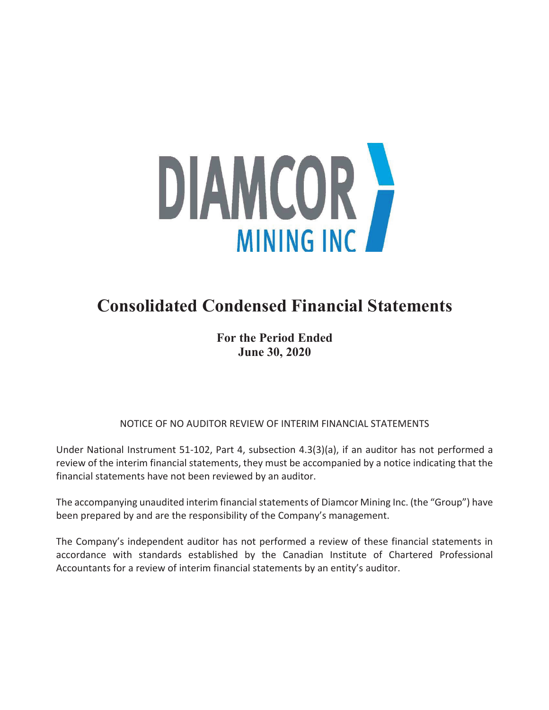

# **Consolidated Condensed Financial Statements**

**For the Period Ended June 30, 2020** 

NOTICE OF NO AUDITOR REVIEW OF INTERIM FINANCIAL STATEMENTS

Under National Instrument 51-102, Part 4, subsection 4.3(3)(a), if an auditor has not performed a review of the interim financial statements, they must be accompanied by a notice indicating that the financial statements have not been reviewed by an auditor.

The accompanying unaudited interim financial statements of Diamcor Mining Inc. (the "Group") have been prepared by and are the responsibility of the Company's management.

The Company's independent auditor has not performed a review of these financial statements in accordance with standards established by the Canadian Institute of Chartered Professional Accountants for a review of interim financial statements by an entity's auditor.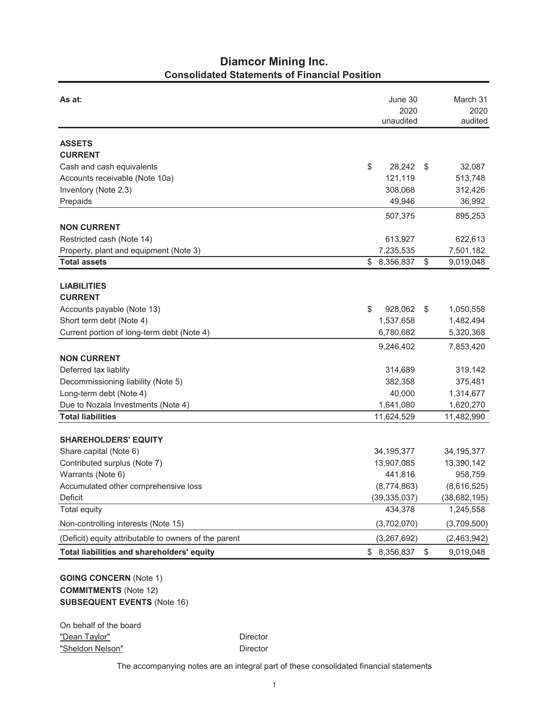# **Diamcor Mining Inc. Consolidated Statements of Financial Position**

| As at:                                                         |    | June 30<br>2020         | March 31<br>2020        |
|----------------------------------------------------------------|----|-------------------------|-------------------------|
|                                                                |    | unaudited               | audited                 |
| <b>ASSETS</b>                                                  |    |                         |                         |
| <b>CURRENT</b>                                                 |    |                         |                         |
| Cash and cash equivalents                                      | \$ | 28,242<br>\$            | 32,087                  |
| Accounts receivable (Note 10a)                                 |    | 121,119                 | 513,748                 |
| Inventory (Note 2.3)                                           |    | 308,068                 | 312,426                 |
| Prepaids                                                       |    | 49,946                  | 36,992                  |
|                                                                |    | 507,375                 | 895,253                 |
| <b>NON CURRENT</b>                                             |    |                         |                         |
| Restricted cash (Note 14)                                      |    | 613,927                 | 622,613                 |
| Property, plant and equipment (Note 3)                         |    | 7,235,535               | 7,501,182               |
| <b>Total assets</b>                                            | \$ | \$<br>8,356,837         | 9,019,048               |
|                                                                |    |                         |                         |
| <b>LIABILITIES</b>                                             |    |                         |                         |
| <b>CURRENT</b>                                                 |    |                         |                         |
| Accounts payable (Note 13)                                     | \$ | 928,062<br>\$           | 1,050,558               |
| Short term debt (Note 4)                                       |    | 1,537,658               | 1,482,494               |
| Current portion of long-term debt (Note 4)                     |    | 6,780,682               | 5,320,368               |
|                                                                |    | 9,246,402               | 7,853,420               |
| <b>NON CURRENT</b>                                             |    |                         |                         |
| Deferred tax liablity                                          |    | 314,689                 | 319,142                 |
| Decommissioning liability (Note 5)                             |    | 382,358                 | 375,481                 |
| Long-term debt (Note 4)                                        |    | 40,000                  | 1,314,677               |
| Due to Nozala Investments (Note 4)<br><b>Total liabilities</b> |    | 1,641,080<br>11,624,529 | 1,620,270<br>11,482,990 |
|                                                                |    |                         |                         |
| <b>SHAREHOLDERS' EQUITY</b>                                    |    |                         |                         |
| Share capital (Note 6)                                         |    | 34, 195, 377            | 34, 195, 377            |
| Contributed surplus (Note 7)                                   |    | 13,907,085              | 13,390,142              |
| Warrants (Note 6)                                              |    | 441,816                 | 958,759                 |
| Accumulated other comprehensive loss                           |    | (8,774,863)             | (8,616,525)             |
| Deficit                                                        |    | (39, 335, 037)          | (38, 682, 195)          |
| Total equity                                                   |    | 434,378                 | 1,245,558               |
| Non-controlling interests (Note 15)                            |    | (3,702,070)             | (3,709,500)             |
| (Deficit) equity attributable to owners of the parent          |    | (3,267,692)             | (2,463,942)             |
| Total liabilities and shareholders' equity                     | \$ | \$<br>8,356,837         | 9,019,048               |
|                                                                |    |                         |                         |

**GOING CONCERN** (Note 1) **COMMITMENTS** (Note 12) **SUBSEQUENT EVENTS** (Note 16)

On behalf of the board "Dean Taylor" **Director** Director "Sheldon Nelson" **Director** 

The accompanying notes are an integral part of these consolidated financial statements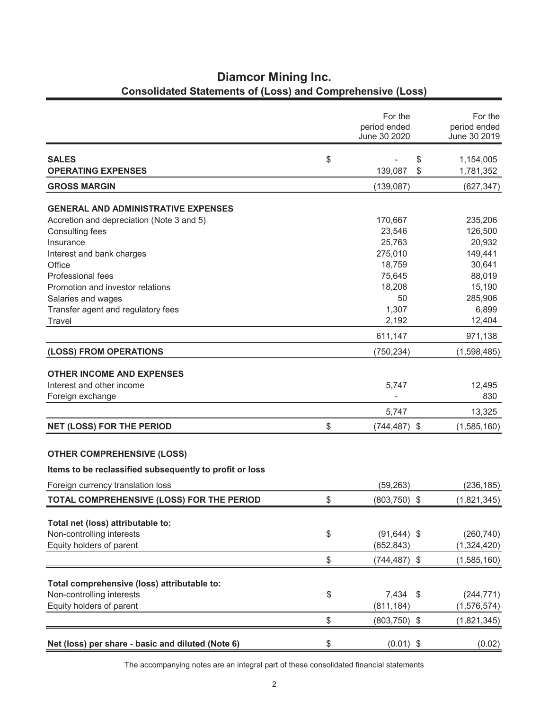|                                                         | For the<br>period ended<br>June 30 2020 | For the<br>period ended<br>June 30 2019 |
|---------------------------------------------------------|-----------------------------------------|-----------------------------------------|
| <b>SALES</b><br><b>OPERATING EXPENSES</b>               | \$<br>\$<br>139,087<br>\$               | 1,154,005<br>1,781,352                  |
| <b>GROSS MARGIN</b>                                     | (139, 087)                              | (627, 347)                              |
| <b>GENERAL AND ADMINISTRATIVE EXPENSES</b>              |                                         |                                         |
| Accretion and depreciation (Note 3 and 5)               | 170,667                                 | 235,206                                 |
| Consulting fees                                         | 23,546                                  | 126,500                                 |
| Insurance                                               | 25,763                                  | 20,932                                  |
| Interest and bank charges                               | 275,010                                 | 149,441                                 |
| Office                                                  | 18,759                                  | 30,641                                  |
| Professional fees                                       | 75,645                                  | 88,019                                  |
| Promotion and investor relations                        | 18,208                                  | 15,190                                  |
| Salaries and wages                                      | 50                                      | 285,906                                 |
| Transfer agent and regulatory fees                      | 1,307                                   | 6,899                                   |
| Travel                                                  | 2,192                                   | 12,404                                  |
|                                                         | 611,147                                 | 971,138                                 |
| (LOSS) FROM OPERATIONS                                  | (750, 234)                              | (1,598,485)                             |
| <b>OTHER INCOME AND EXPENSES</b>                        |                                         |                                         |
| Interest and other income                               | 5,747                                   | 12,495                                  |
| Foreign exchange                                        |                                         | 830                                     |
|                                                         | 5,747                                   | 13,325                                  |
|                                                         |                                         |                                         |
| <b>NET (LOSS) FOR THE PERIOD</b>                        | \$<br>$(744, 487)$ \$                   | (1,585,160)                             |
| <b>OTHER COMPREHENSIVE (LOSS)</b>                       |                                         |                                         |
| Items to be reclassified subsequently to profit or loss |                                         |                                         |
| Foreign currency translation loss                       | (59, 263)                               | (236, 185)                              |
| TOTAL COMPREHENSIVE (LOSS) FOR THE PERIOD               | \$<br>$(803,750)$ \$                    | (1,821,345)                             |
|                                                         |                                         |                                         |
| Total net (loss) attributable to:                       |                                         |                                         |
| Non-controlling interests                               | \$<br>$(91, 644)$ \$                    | (260, 740)                              |
| Equity holders of parent                                | (652, 843)                              | (1,324,420)                             |
|                                                         | \$<br>$(744, 487)$ \$                   | (1,585,160)                             |
| Total comprehensive (loss) attributable to:             |                                         |                                         |
| Non-controlling interests                               | \$<br>7,434<br>- \$                     | (244, 771)                              |
| Equity holders of parent                                | (811, 184)                              | (1,576,574)                             |
|                                                         | \$<br>$(803,750)$ \$                    | (1,821,345)                             |
|                                                         |                                         |                                         |
| Net (loss) per share - basic and diluted (Note 6)       | \$<br>$(0.01)$ \$                       | (0.02)                                  |
|                                                         |                                         |                                         |

# **Diamcor Mining Inc. Consolidated Statements of (Loss) and Comprehensive (Loss)**

The accompanying notes are an integral part of these consolidated financial statements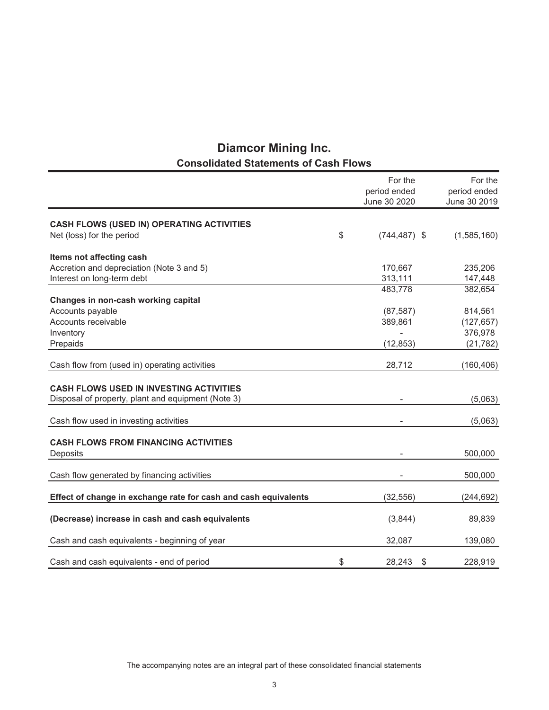# **Diamcor Mining Inc. Consolidated Statements of Cash Flows**

|                                                                                                      | For the<br>period ended<br>June 30 2020 | For the<br>period ended<br>June 30 2019 |
|------------------------------------------------------------------------------------------------------|-----------------------------------------|-----------------------------------------|
| <b>CASH FLOWS (USED IN) OPERATING ACTIVITIES</b><br>Net (loss) for the period                        | \$<br>$(744, 487)$ \$                   | (1,585,160)                             |
| Items not affecting cash                                                                             |                                         |                                         |
| Accretion and depreciation (Note 3 and 5)                                                            | 170,667                                 | 235,206                                 |
| Interest on long-term debt                                                                           | 313,111<br>483,778                      | 147,448<br>382,654                      |
| Changes in non-cash working capital<br>Accounts payable<br>Accounts receivable<br>Inventory          | (87, 587)<br>389,861<br>(12, 853)       | 814,561<br>(127, 657)<br>376,978        |
| Prepaids                                                                                             |                                         | (21, 782)                               |
| Cash flow from (used in) operating activities                                                        | 28,712                                  | (160, 406)                              |
| <b>CASH FLOWS USED IN INVESTING ACTIVITIES</b><br>Disposal of property, plant and equipment (Note 3) |                                         | (5,063)                                 |
| Cash flow used in investing activities                                                               |                                         | (5,063)                                 |
| <b>CASH FLOWS FROM FINANCING ACTIVITIES</b><br>Deposits                                              |                                         | 500,000                                 |
| Cash flow generated by financing activities                                                          |                                         | 500,000                                 |
| Effect of change in exchange rate for cash and cash equivalents                                      | (32, 556)                               | (244, 692)                              |
| (Decrease) increase in cash and cash equivalents                                                     | (3,844)                                 | 89,839                                  |
| Cash and cash equivalents - beginning of year                                                        | 32,087                                  | 139,080                                 |
| Cash and cash equivalents - end of period                                                            | \$<br>28,243<br>\$                      | 228,919                                 |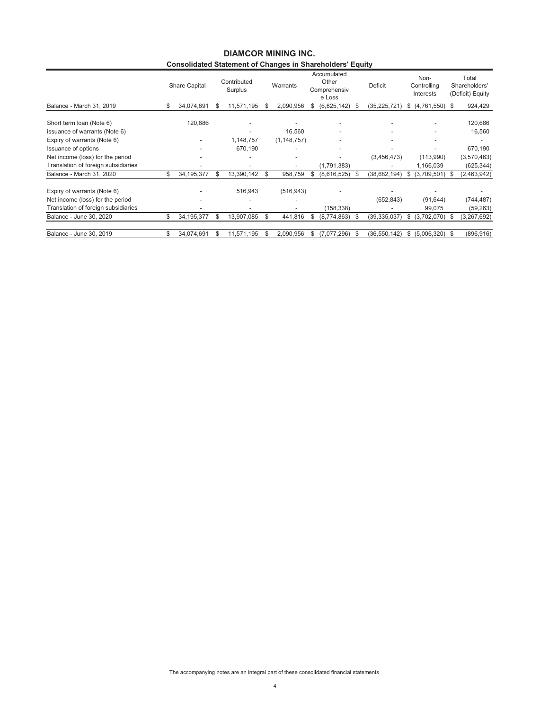### **Consolidated Statement of Changes in Shareholders' Equity DIAMCOR MINING INC.**

|                                                           | Share Capital      | Contributed<br>Surplus   |   | Warrants      |   | Accumulated<br>Other<br>Comprehensiv<br>e Loss |     | Deficit        | Non-<br>Controlling<br>Interests |     | Total<br>Shareholders'<br>(Deficit) Equity |
|-----------------------------------------------------------|--------------------|--------------------------|---|---------------|---|------------------------------------------------|-----|----------------|----------------------------------|-----|--------------------------------------------|
| Balance - March 31, 2019                                  | \$<br>34,074,691   | 11,571,195               |   | 2,090,956     |   | (6,825,142)                                    |     | (35, 225, 721) | (4,761,550)<br>S.                | \$. | 924,429                                    |
| Short term loan (Note 6)<br>issuance of warrants (Note 6) | 120,686            |                          |   | 16,560        |   | $\overline{\phantom{0}}$                       |     |                |                                  |     | 120,686<br>16,560                          |
| Expiry of warrants (Note 6)                               |                    | 1,148,757                |   | (1, 148, 757) |   |                                                |     |                |                                  |     |                                            |
| Issuance of options                                       |                    | 670,190                  |   |               |   |                                                |     |                |                                  |     | 670,190                                    |
| Net income (loss) for the period                          |                    |                          |   |               |   |                                                |     | (3,456,473)    | (113,990)                        |     | (3,570,463)                                |
| Translation of foreign subsidiaries                       |                    | $\overline{\phantom{a}}$ |   | ٠             |   | (1,791,383)                                    |     |                | 1,166,039                        |     | (625, 344)                                 |
| Balance - March 31, 2020                                  | \$<br>34, 195, 377 | \$<br>13,390,142         |   | 958,759       |   | (8,616,525)                                    |     | (38, 682, 194) | (3,709,501)                      |     | (2,463,942)                                |
| Expiry of warrants (Note 6)                               |                    | 516,943                  |   | (516, 943)    |   |                                                |     |                |                                  |     |                                            |
| Net income (loss) for the period                          |                    | $\overline{\phantom{a}}$ |   |               |   |                                                |     | (652, 843)     | (91, 644)                        |     | (744, 487)                                 |
| Translation of foreign subsidiaries                       |                    |                          |   | -             |   | (158, 338)                                     |     |                | 99,075                           |     | (59, 263)                                  |
| Balance - June 30, 2020                                   | \$<br>34, 195, 377 | \$<br>13,907,085         | S | 441,816       | S | (8,774,863)                                    | \$. | (39, 335, 037) | (3,702,070)<br>S                 |     | (3, 267, 692)                              |
| Balance - June 30, 2019                                   | \$<br>34,074,691   | 11,571,195               | S | 2,090,956     | S | (7,077,296)                                    | -S  | (36, 550, 142) | $(5,006,320)$ \$<br>\$           |     | (896, 916)                                 |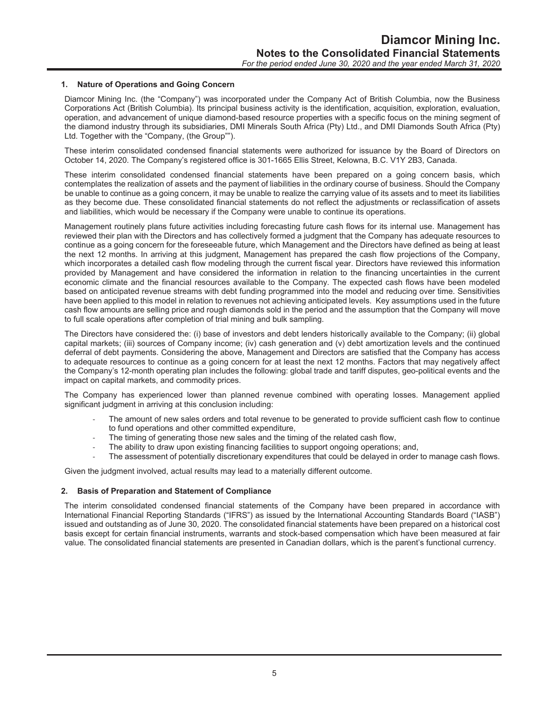#### **1. Nature of Operations and Going Concern**

Diamcor Mining Inc. (the "Company") was incorporated under the Company Act of British Columbia, now the Business Corporations Act (British Columbia). Its principal business activity is the identification, acquisition, exploration, evaluation, operation, and advancement of unique diamond-based resource properties with a specific focus on the mining segment of the diamond industry through its subsidiaries, DMI Minerals South Africa (Pty) Ltd., and DMI Diamonds South Africa (Pty) Ltd. Together with the "Company, (the Group"").

These interim consolidated condensed financial statements were authorized for issuance by the Board of Directors on October 14, 2020. The Company's registered office is 301-1665 Ellis Street, Kelowna, B.C. V1Y 2B3, Canada.

These interim consolidated condensed financial statements have been prepared on a going concern basis, which contemplates the realization of assets and the payment of liabilities in the ordinary course of business. Should the Company be unable to continue as a going concern, it may be unable to realize the carrying value of its assets and to meet its liabilities as they become due. These consolidated financial statements do not reflect the adjustments or reclassification of assets and liabilities, which would be necessary if the Company were unable to continue its operations.

Management routinely plans future activities including forecasting future cash flows for its internal use. Management has reviewed their plan with the Directors and has collectively formed a judgment that the Company has adequate resources to continue as a going concern for the foreseeable future, which Management and the Directors have defined as being at least the next 12 months. In arriving at this judgment, Management has prepared the cash flow projections of the Company, which incorporates a detailed cash flow modeling through the current fiscal year. Directors have reviewed this information provided by Management and have considered the information in relation to the financing uncertainties in the current economic climate and the financial resources available to the Company. The expected cash flows have been modeled based on anticipated revenue streams with debt funding programmed into the model and reducing over time. Sensitivities have been applied to this model in relation to revenues not achieving anticipated levels. Key assumptions used in the future cash flow amounts are selling price and rough diamonds sold in the period and the assumption that the Company will move to full scale operations after completion of trial mining and bulk sampling.

The Directors have considered the: (i) base of investors and debt lenders historically available to the Company; (ii) global capital markets; (iii) sources of Company income; (iv) cash generation and (v) debt amortization levels and the continued deferral of debt payments. Considering the above, Management and Directors are satisfied that the Company has access to adequate resources to continue as a going concern for at least the next 12 months. Factors that may negatively affect the Company's 12-month operating plan includes the following: global trade and tariff disputes, geo-political events and the impact on capital markets, and commodity prices.

The Company has experienced lower than planned revenue combined with operating losses. Management applied significant judgment in arriving at this conclusion including:

- The amount of new sales orders and total revenue to be generated to provide sufficient cash flow to continue to fund operations and other committed expenditure,
- The timing of generating those new sales and the timing of the related cash flow,
- The ability to draw upon existing financing facilities to support ongoing operations; and,
- The assessment of potentially discretionary expenditures that could be delayed in order to manage cash flows.

Given the judgment involved, actual results may lead to a materially different outcome.

#### **2. Basis of Preparation and Statement of Compliance**

The interim consolidated condensed financial statements of the Company have been prepared in accordance with International Financial Reporting Standards ("IFRS") as issued by the International Accounting Standards Board ("IASB") issued and outstanding as of June 30, 2020. The consolidated financial statements have been prepared on a historical cost basis except for certain financial instruments, warrants and stock-based compensation which have been measured at fair value. The consolidated financial statements are presented in Canadian dollars, which is the parent's functional currency.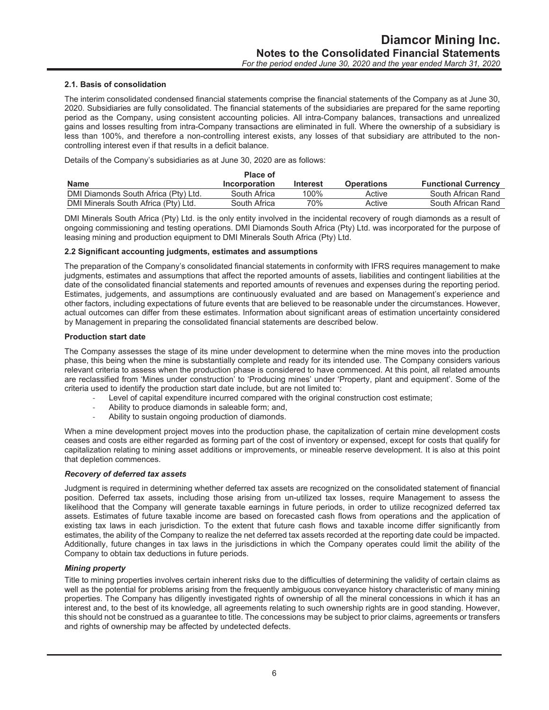#### **2.1. Basis of consolidation**

The interim consolidated condensed financial statements comprise the financial statements of the Company as at June 30, 2020. Subsidiaries are fully consolidated. The financial statements of the subsidiaries are prepared for the same reporting period as the Company, using consistent accounting policies. All intra-Company balances, transactions and unrealized gains and losses resulting from intra-Company transactions are eliminated in full. Where the ownership of a subsidiary is less than 100%, and therefore a non-controlling interest exists, any losses of that subsidiary are attributed to the noncontrolling interest even if that results in a deficit balance.

Details of the Company's subsidiaries as at June 30, 2020 are as follows:

|                                      | <b>Place of</b> |                 |                   |                            |
|--------------------------------------|-----------------|-----------------|-------------------|----------------------------|
| <b>Name</b>                          | Incorporation   | <b>Interest</b> | <b>Operations</b> | <b>Functional Currency</b> |
| DMI Diamonds South Africa (Pty) Ltd. | South Africa    | 100%            | Active            | South African Rand         |
| DMI Minerals South Africa (Pty) Ltd. | South Africa    | 70%             | Active            | South African Rand         |

DMI Minerals South Africa (Pty) Ltd. is the only entity involved in the incidental recovery of rough diamonds as a result of ongoing commissioning and testing operations. DMI Diamonds South Africa (Pty) Ltd. was incorporated for the purpose of leasing mining and production equipment to DMI Minerals South Africa (Pty) Ltd.

#### **2.2 Significant accounting judgments, estimates and assumptions**

The preparation of the Company's consolidated financial statements in conformity with IFRS requires management to make judgments, estimates and assumptions that affect the reported amounts of assets, liabilities and contingent liabilities at the date of the consolidated financial statements and reported amounts of revenues and expenses during the reporting period. Estimates, judgements, and assumptions are continuously evaluated and are based on Management's experience and other factors, including expectations of future events that are believed to be reasonable under the circumstances. However, actual outcomes can differ from these estimates. Information about significant areas of estimation uncertainty considered by Management in preparing the consolidated financial statements are described below.

#### **Production start date**

The Company assesses the stage of its mine under development to determine when the mine moves into the production phase, this being when the mine is substantially complete and ready for its intended use. The Company considers various relevant criteria to assess when the production phase is considered to have commenced. At this point, all related amounts are reclassified from 'Mines under construction' to 'Producing mines' under 'Property, plant and equipment'. Some of the criteria used to identify the production start date include, but are not limited to:

- Level of capital expenditure incurred compared with the original construction cost estimate;
- Ability to produce diamonds in saleable form; and,
- Ability to sustain ongoing production of diamonds.

When a mine development project moves into the production phase, the capitalization of certain mine development costs ceases and costs are either regarded as forming part of the cost of inventory or expensed, except for costs that qualify for capitalization relating to mining asset additions or improvements, or mineable reserve development. It is also at this point that depletion commences.

#### *Recovery of deferred tax assets*

Judgment is required in determining whether deferred tax assets are recognized on the consolidated statement of financial position. Deferred tax assets, including those arising from un-utilized tax losses, require Management to assess the likelihood that the Company will generate taxable earnings in future periods, in order to utilize recognized deferred tax assets. Estimates of future taxable income are based on forecasted cash flows from operations and the application of existing tax laws in each jurisdiction. To the extent that future cash flows and taxable income differ significantly from estimates, the ability of the Company to realize the net deferred tax assets recorded at the reporting date could be impacted. Additionally, future changes in tax laws in the jurisdictions in which the Company operates could limit the ability of the Company to obtain tax deductions in future periods.

#### *Mining property*

Title to mining properties involves certain inherent risks due to the difficulties of determining the validity of certain claims as well as the potential for problems arising from the frequently ambiguous conveyance history characteristic of many mining properties. The Company has diligently investigated rights of ownership of all the mineral concessions in which it has an interest and, to the best of its knowledge, all agreements relating to such ownership rights are in good standing. However, this should not be construed as a guarantee to title. The concessions may be subject to prior claims, agreements or transfers and rights of ownership may be affected by undetected defects.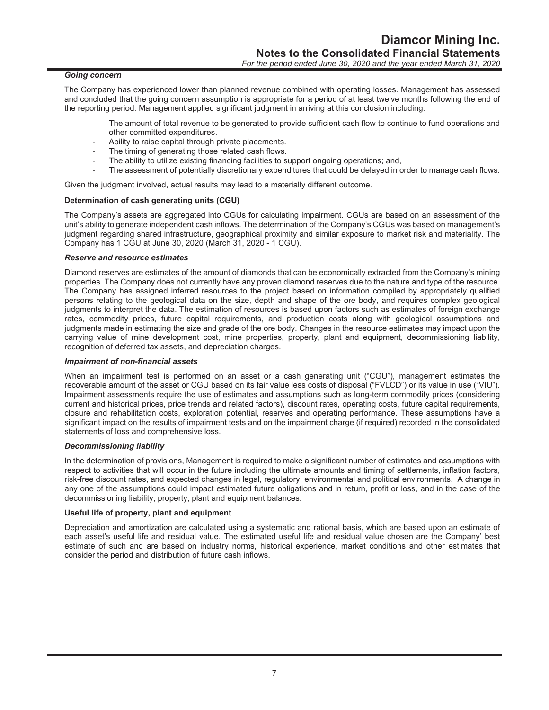#### *Going concern*

The Company has experienced lower than planned revenue combined with operating losses. Management has assessed and concluded that the going concern assumption is appropriate for a period of at least twelve months following the end of the reporting period. Management applied significant judgment in arriving at this conclusion including:

- The amount of total revenue to be generated to provide sufficient cash flow to continue to fund operations and other committed expenditures.
- Ability to raise capital through private placements.
- The timing of generating those related cash flows.
- The ability to utilize existing financing facilities to support ongoing operations; and,
- The assessment of potentially discretionary expenditures that could be delayed in order to manage cash flows.

Given the judgment involved, actual results may lead to a materially different outcome.

#### **Determination of cash generating units (CGU)**

The Company's assets are aggregated into CGUs for calculating impairment. CGUs are based on an assessment of the unit's ability to generate independent cash inflows. The determination of the Company's CGUs was based on management's judgment regarding shared infrastructure, geographical proximity and similar exposure to market risk and materiality. The Company has 1 CGU at June 30, 2020 (March 31, 2020 - 1 CGU).

#### *Reserve and resource estimates*

Diamond reserves are estimates of the amount of diamonds that can be economically extracted from the Company's mining properties. The Company does not currently have any proven diamond reserves due to the nature and type of the resource. The Company has assigned inferred resources to the project based on information compiled by appropriately qualified persons relating to the geological data on the size, depth and shape of the ore body, and requires complex geological judgments to interpret the data. The estimation of resources is based upon factors such as estimates of foreign exchange rates, commodity prices, future capital requirements, and production costs along with geological assumptions and judgments made in estimating the size and grade of the ore body. Changes in the resource estimates may impact upon the carrying value of mine development cost, mine properties, property, plant and equipment, decommissioning liability, recognition of deferred tax assets, and depreciation charges.

#### *Impairment of non-financial assets*

When an impairment test is performed on an asset or a cash generating unit ("CGU"), management estimates the recoverable amount of the asset or CGU based on its fair value less costs of disposal ("FVLCD") or its value in use ("VIU"). Impairment assessments require the use of estimates and assumptions such as long-term commodity prices (considering current and historical prices, price trends and related factors), discount rates, operating costs, future capital requirements, closure and rehabilitation costs, exploration potential, reserves and operating performance. These assumptions have a significant impact on the results of impairment tests and on the impairment charge (if required) recorded in the consolidated statements of loss and comprehensive loss.

#### *Decommissioning liability*

In the determination of provisions, Management is required to make a significant number of estimates and assumptions with respect to activities that will occur in the future including the ultimate amounts and timing of settlements, inflation factors, risk-free discount rates, and expected changes in legal, regulatory, environmental and political environments. A change in any one of the assumptions could impact estimated future obligations and in return, profit or loss, and in the case of the decommissioning liability, property, plant and equipment balances.

#### **Useful life of property, plant and equipment**

Depreciation and amortization are calculated using a systematic and rational basis, which are based upon an estimate of each asset's useful life and residual value. The estimated useful life and residual value chosen are the Company' best estimate of such and are based on industry norms, historical experience, market conditions and other estimates that consider the period and distribution of future cash inflows.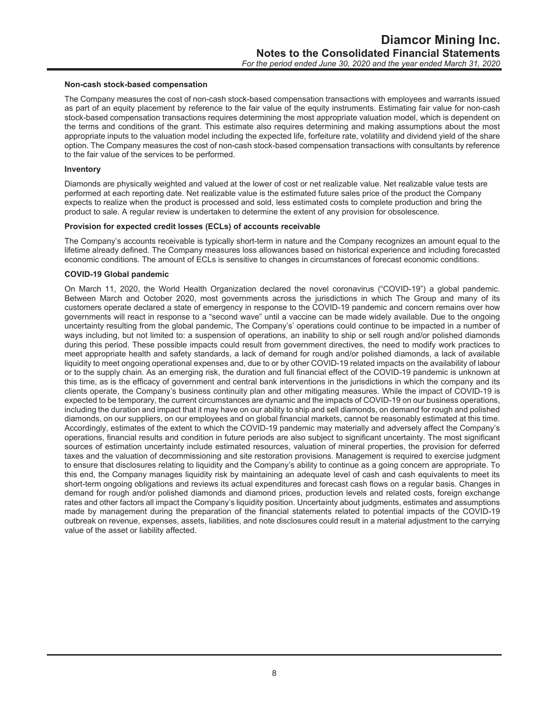#### **Non-cash stock-based compensation**

The Company measures the cost of non-cash stock-based compensation transactions with employees and warrants issued as part of an equity placement by reference to the fair value of the equity instruments. Estimating fair value for non-cash stock-based compensation transactions requires determining the most appropriate valuation model, which is dependent on the terms and conditions of the grant. This estimate also requires determining and making assumptions about the most appropriate inputs to the valuation model including the expected life, forfeiture rate, volatility and dividend yield of the share option. The Company measures the cost of non-cash stock-based compensation transactions with consultants by reference to the fair value of the services to be performed.

#### **Inventory**

Diamonds are physically weighted and valued at the lower of cost or net realizable value. Net realizable value tests are performed at each reporting date. Net realizable value is the estimated future sales price of the product the Company expects to realize when the product is processed and sold, less estimated costs to complete production and bring the product to sale. A regular review is undertaken to determine the extent of any provision for obsolescence.

#### **Provision for expected credit losses (ECLs) of accounts receivable**

The Company's accounts receivable is typically short-term in nature and the Company recognizes an amount equal to the lifetime already defined. The Company measures loss allowances based on historical experience and including forecasted economic conditions. The amount of ECLs is sensitive to changes in circumstances of forecast economic conditions.

#### **COVID-19 Global pandemic**

On March 11, 2020, the World Health Organization declared the novel coronavirus ("COVID-19") a global pandemic. Between March and October 2020, most governments across the jurisdictions in which The Group and many of its customers operate declared a state of emergency in response to the COVID-19 pandemic and concern remains over how governments will react in response to a "second wave" until a vaccine can be made widely available. Due to the ongoing uncertainty resulting from the global pandemic, The Company's' operations could continue to be impacted in a number of ways including, but not limited to: a suspension of operations, an inability to ship or sell rough and/or polished diamonds during this period. These possible impacts could result from government directives, the need to modify work practices to meet appropriate health and safety standards, a lack of demand for rough and/or polished diamonds, a lack of available liquidity to meet ongoing operational expenses and, due to or by other COVID-19 related impacts on the availability of labour or to the supply chain. As an emerging risk, the duration and full financial effect of the COVID-19 pandemic is unknown at this time, as is the efficacy of government and central bank interventions in the jurisdictions in which the company and its clients operate, the Company's business continuity plan and other mitigating measures. While the impact of COVID-19 is expected to be temporary, the current circumstances are dynamic and the impacts of COVID-19 on our business operations, including the duration and impact that it may have on our ability to ship and sell diamonds, on demand for rough and polished diamonds, on our suppliers, on our employees and on global financial markets, cannot be reasonably estimated at this time. Accordingly, estimates of the extent to which the COVID-19 pandemic may materially and adversely affect the Company's operations, financial results and condition in future periods are also subject to significant uncertainty. The most significant sources of estimation uncertainty include estimated resources, valuation of mineral properties, the provision for deferred taxes and the valuation of decommissioning and site restoration provisions. Management is required to exercise judgment to ensure that disclosures relating to liquidity and the Company's ability to continue as a going concern are appropriate. To this end, the Company manages liquidity risk by maintaining an adequate level of cash and cash equivalents to meet its short-term ongoing obligations and reviews its actual expenditures and forecast cash flows on a regular basis. Changes in demand for rough and/or polished diamonds and diamond prices, production levels and related costs, foreign exchange rates and other factors all impact the Company's liquidity position. Uncertainty about judgments, estimates and assumptions made by management during the preparation of the financial statements related to potential impacts of the COVID-19 outbreak on revenue, expenses, assets, liabilities, and note disclosures could result in a material adjustment to the carrying value of the asset or liability affected.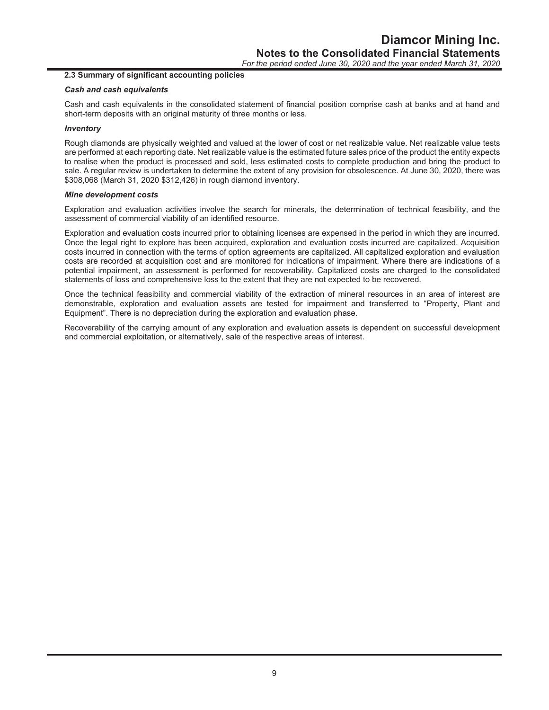#### **2.3 Summary of significant accounting policies**

#### *Cash and cash equivalents*

Cash and cash equivalents in the consolidated statement of financial position comprise cash at banks and at hand and short-term deposits with an original maturity of three months or less.

#### *Inventory*

Rough diamonds are physically weighted and valued at the lower of cost or net realizable value. Net realizable value tests are performed at each reporting date. Net realizable value is the estimated future sales price of the product the entity expects to realise when the product is processed and sold, less estimated costs to complete production and bring the product to sale. A regular review is undertaken to determine the extent of any provision for obsolescence. At June 30, 2020, there was \$308,068 (March 31, 2020 \$312,426) in rough diamond inventory.

#### *Mine development costs*

Exploration and evaluation activities involve the search for minerals, the determination of technical feasibility, and the assessment of commercial viability of an identified resource.

Exploration and evaluation costs incurred prior to obtaining licenses are expensed in the period in which they are incurred. Once the legal right to explore has been acquired, exploration and evaluation costs incurred are capitalized. Acquisition costs incurred in connection with the terms of option agreements are capitalized. All capitalized exploration and evaluation costs are recorded at acquisition cost and are monitored for indications of impairment. Where there are indications of a potential impairment, an assessment is performed for recoverability. Capitalized costs are charged to the consolidated statements of loss and comprehensive loss to the extent that they are not expected to be recovered.

Once the technical feasibility and commercial viability of the extraction of mineral resources in an area of interest are demonstrable, exploration and evaluation assets are tested for impairment and transferred to "Property, Plant and Equipment". There is no depreciation during the exploration and evaluation phase.

Recoverability of the carrying amount of any exploration and evaluation assets is dependent on successful development and commercial exploitation, or alternatively, sale of the respective areas of interest.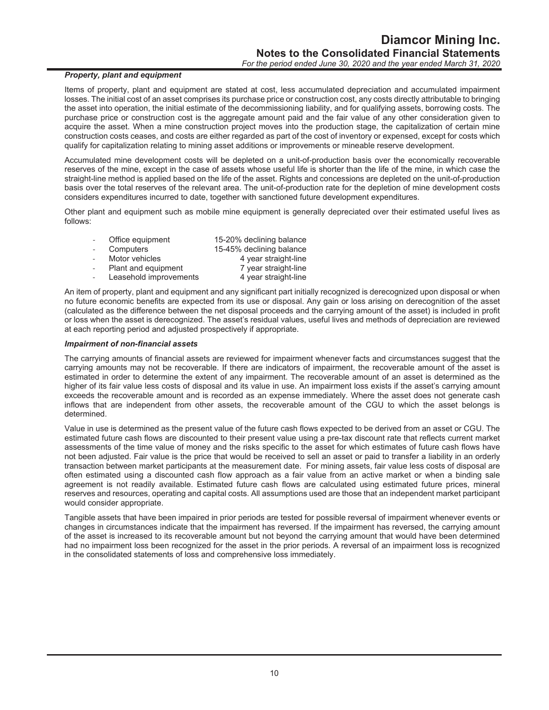#### *Property, plant and equipment*

Items of property, plant and equipment are stated at cost, less accumulated depreciation and accumulated impairment losses. The initial cost of an asset comprises its purchase price or construction cost, any costs directly attributable to bringing the asset into operation, the initial estimate of the decommissioning liability, and for qualifying assets, borrowing costs. The purchase price or construction cost is the aggregate amount paid and the fair value of any other consideration given to acquire the asset. When a mine construction project moves into the production stage, the capitalization of certain mine construction costs ceases, and costs are either regarded as part of the cost of inventory or expensed, except for costs which qualify for capitalization relating to mining asset additions or improvements or mineable reserve development.

Accumulated mine development costs will be depleted on a unit-of-production basis over the economically recoverable reserves of the mine, except in the case of assets whose useful life is shorter than the life of the mine, in which case the straight-line method is applied based on the life of the asset. Rights and concessions are depleted on the unit-of-production basis over the total reserves of the relevant area. The unit-of-production rate for the depletion of mine development costs considers expenditures incurred to date, together with sanctioned future development expenditures.

Other plant and equipment such as mobile mine equipment is generally depreciated over their estimated useful lives as follows:

| Office equipment       | 15-20% declining balance |
|------------------------|--------------------------|
| Computers              | 15-45% declining balance |
| Motor vehicles         | 4 year straight-line     |
| Plant and equipment    | 7 year straight-line     |
| Leasehold improvements | 4 year straight-line     |

An item of property, plant and equipment and any significant part initially recognized is derecognized upon disposal or when no future economic benefits are expected from its use or disposal. Any gain or loss arising on derecognition of the asset (calculated as the difference between the net disposal proceeds and the carrying amount of the asset) is included in profit or loss when the asset is derecognized. The asset's residual values, useful lives and methods of depreciation are reviewed at each reporting period and adjusted prospectively if appropriate.

#### *Impairment of non-financial assets*

The carrying amounts of financial assets are reviewed for impairment whenever facts and circumstances suggest that the carrying amounts may not be recoverable. If there are indicators of impairment, the recoverable amount of the asset is estimated in order to determine the extent of any impairment. The recoverable amount of an asset is determined as the higher of its fair value less costs of disposal and its value in use. An impairment loss exists if the asset's carrying amount exceeds the recoverable amount and is recorded as an expense immediately. Where the asset does not generate cash inflows that are independent from other assets, the recoverable amount of the CGU to which the asset belongs is determined.

Value in use is determined as the present value of the future cash flows expected to be derived from an asset or CGU. The estimated future cash flows are discounted to their present value using a pre-tax discount rate that reflects current market assessments of the time value of money and the risks specific to the asset for which estimates of future cash flows have not been adjusted. Fair value is the price that would be received to sell an asset or paid to transfer a liability in an orderly transaction between market participants at the measurement date. For mining assets, fair value less costs of disposal are often estimated using a discounted cash flow approach as a fair value from an active market or when a binding sale agreement is not readily available. Estimated future cash flows are calculated using estimated future prices, mineral reserves and resources, operating and capital costs. All assumptions used are those that an independent market participant would consider appropriate.

Tangible assets that have been impaired in prior periods are tested for possible reversal of impairment whenever events or changes in circumstances indicate that the impairment has reversed. If the impairment has reversed, the carrying amount of the asset is increased to its recoverable amount but not beyond the carrying amount that would have been determined had no impairment loss been recognized for the asset in the prior periods. A reversal of an impairment loss is recognized in the consolidated statements of loss and comprehensive loss immediately.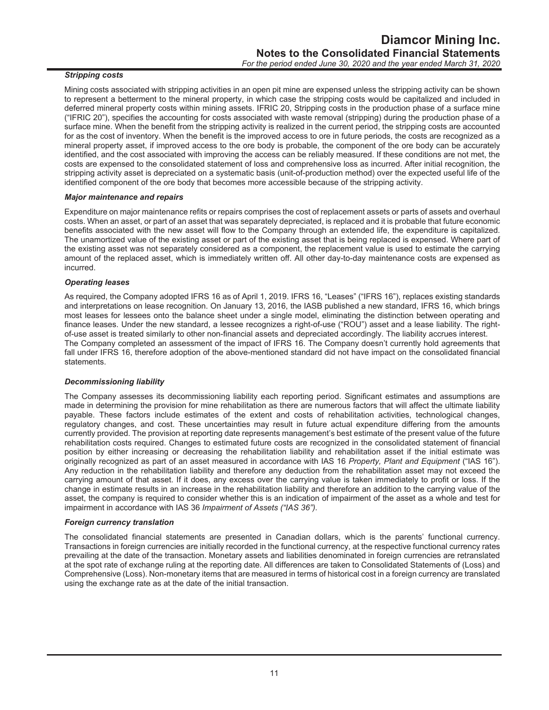#### *Stripping costs*

Mining costs associated with stripping activities in an open pit mine are expensed unless the stripping activity can be shown to represent a betterment to the mineral property, in which case the stripping costs would be capitalized and included in deferred mineral property costs within mining assets. IFRIC 20, Stripping costs in the production phase of a surface mine ("IFRIC 20"), specifies the accounting for costs associated with waste removal (stripping) during the production phase of a surface mine. When the benefit from the stripping activity is realized in the current period, the stripping costs are accounted for as the cost of inventory. When the benefit is the improved access to ore in future periods, the costs are recognized as a mineral property asset, if improved access to the ore body is probable, the component of the ore body can be accurately identified, and the cost associated with improving the access can be reliably measured. If these conditions are not met, the costs are expensed to the consolidated statement of loss and comprehensive loss as incurred. After initial recognition, the stripping activity asset is depreciated on a systematic basis (unit-of-production method) over the expected useful life of the identified component of the ore body that becomes more accessible because of the stripping activity.

#### *Major maintenance and repairs*

Expenditure on major maintenance refits or repairs comprises the cost of replacement assets or parts of assets and overhaul costs. When an asset, or part of an asset that was separately depreciated, is replaced and it is probable that future economic benefits associated with the new asset will flow to the Company through an extended life, the expenditure is capitalized. The unamortized value of the existing asset or part of the existing asset that is being replaced is expensed. Where part of the existing asset was not separately considered as a component, the replacement value is used to estimate the carrying amount of the replaced asset, which is immediately written off. All other day-to-day maintenance costs are expensed as incurred.

#### *Operating leases*

As required, the Company adopted IFRS 16 as of April 1, 2019. IFRS 16, "Leases" ("IFRS 16"), replaces existing standards and interpretations on lease recognition. On January 13, 2016, the IASB published a new standard, IFRS 16, which brings most leases for lessees onto the balance sheet under a single model, eliminating the distinction between operating and finance leases. Under the new standard, a lessee recognizes a right-of-use ("ROU") asset and a lease liability. The rightof-use asset is treated similarly to other non-financial assets and depreciated accordingly. The liability accrues interest. The Company completed an assessment of the impact of IFRS 16. The Company doesn't currently hold agreements that fall under IFRS 16, therefore adoption of the above-mentioned standard did not have impact on the consolidated financial statements.

#### *Decommissioning liability*

The Company assesses its decommissioning liability each reporting period. Significant estimates and assumptions are made in determining the provision for mine rehabilitation as there are numerous factors that will affect the ultimate liability payable. These factors include estimates of the extent and costs of rehabilitation activities, technological changes, regulatory changes, and cost. These uncertainties may result in future actual expenditure differing from the amounts currently provided. The provision at reporting date represents management's best estimate of the present value of the future rehabilitation costs required. Changes to estimated future costs are recognized in the consolidated statement of financial position by either increasing or decreasing the rehabilitation liability and rehabilitation asset if the initial estimate was originally recognized as part of an asset measured in accordance with IAS 16 *Property, Plant and Equipment* ("IAS 16"). Any reduction in the rehabilitation liability and therefore any deduction from the rehabilitation asset may not exceed the carrying amount of that asset. If it does, any excess over the carrying value is taken immediately to profit or loss. If the change in estimate results in an increase in the rehabilitation liability and therefore an addition to the carrying value of the asset, the company is required to consider whether this is an indication of impairment of the asset as a whole and test for impairment in accordance with IAS 36 *Impairment of Assets ("IAS 36")*.

#### *Foreign currency translation*

The consolidated financial statements are presented in Canadian dollars, which is the parents' functional currency. Transactions in foreign currencies are initially recorded in the functional currency, at the respective functional currency rates prevailing at the date of the transaction. Monetary assets and liabilities denominated in foreign currencies are retranslated at the spot rate of exchange ruling at the reporting date. All differences are taken to Consolidated Statements of (Loss) and Comprehensive (Loss). Non-monetary items that are measured in terms of historical cost in a foreign currency are translated using the exchange rate as at the date of the initial transaction.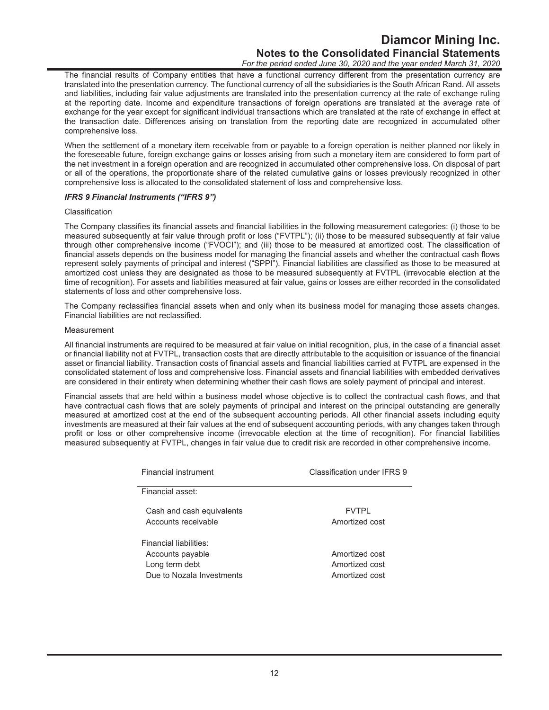# **Diamcor Mining Inc. Notes to the Consolidated Financial Statements**  *For the period ended June 30, 2020 and the year ended March 31, 2020*

The financial results of Company entities that have a functional currency different from the presentation currency are translated into the presentation currency. The functional currency of all the subsidiaries is the South African Rand. All assets and liabilities, including fair value adjustments are translated into the presentation currency at the rate of exchange ruling at the reporting date. Income and expenditure transactions of foreign operations are translated at the average rate of exchange for the year except for significant individual transactions which are translated at the rate of exchange in effect at the transaction date. Differences arising on translation from the reporting date are recognized in accumulated other comprehensive loss.

When the settlement of a monetary item receivable from or payable to a foreign operation is neither planned nor likely in the foreseeable future, foreign exchange gains or losses arising from such a monetary item are considered to form part of the net investment in a foreign operation and are recognized in accumulated other comprehensive loss. On disposal of part or all of the operations, the proportionate share of the related cumulative gains or losses previously recognized in other comprehensive loss is allocated to the consolidated statement of loss and comprehensive loss.

#### *IFRS 9 Financial Instruments ("IFRS 9")*

#### Classification

The Company classifies its financial assets and financial liabilities in the following measurement categories: (i) those to be measured subsequently at fair value through profit or loss ("FVTPL"); (ii) those to be measured subsequently at fair value through other comprehensive income ("FVOCI"); and (iii) those to be measured at amortized cost. The classification of financial assets depends on the business model for managing the financial assets and whether the contractual cash flows represent solely payments of principal and interest ("SPPI"). Financial liabilities are classified as those to be measured at amortized cost unless they are designated as those to be measured subsequently at FVTPL (irrevocable election at the time of recognition). For assets and liabilities measured at fair value, gains or losses are either recorded in the consolidated statements of loss and other comprehensive loss.

The Company reclassifies financial assets when and only when its business model for managing those assets changes. Financial liabilities are not reclassified.

#### Measurement

All financial instruments are required to be measured at fair value on initial recognition, plus, in the case of a financial asset or financial liability not at FVTPL, transaction costs that are directly attributable to the acquisition or issuance of the financial asset or financial liability. Transaction costs of financial assets and financial liabilities carried at FVTPL are expensed in the consolidated statement of loss and comprehensive loss. Financial assets and financial liabilities with embedded derivatives are considered in their entirety when determining whether their cash flows are solely payment of principal and interest.

Financial assets that are held within a business model whose objective is to collect the contractual cash flows, and that have contractual cash flows that are solely payments of principal and interest on the principal outstanding are generally measured at amortized cost at the end of the subsequent accounting periods. All other financial assets including equity investments are measured at their fair values at the end of subsequent accounting periods, with any changes taken through profit or loss or other comprehensive income (irrevocable election at the time of recognition). For financial liabilities measured subsequently at FVTPL, changes in fair value due to credit risk are recorded in other comprehensive income.

| <b>Financial instrument</b>                                                               | Classification under IFRS 9                        |  |  |
|-------------------------------------------------------------------------------------------|----------------------------------------------------|--|--|
| Financial asset:                                                                          |                                                    |  |  |
| Cash and cash equivalents<br>Accounts receivable                                          | <b>FVTPI</b><br>Amortized cost                     |  |  |
| Financial liabilities:<br>Accounts payable<br>Long term debt<br>Due to Nozala Investments | Amortized cost<br>Amortized cost<br>Amortized cost |  |  |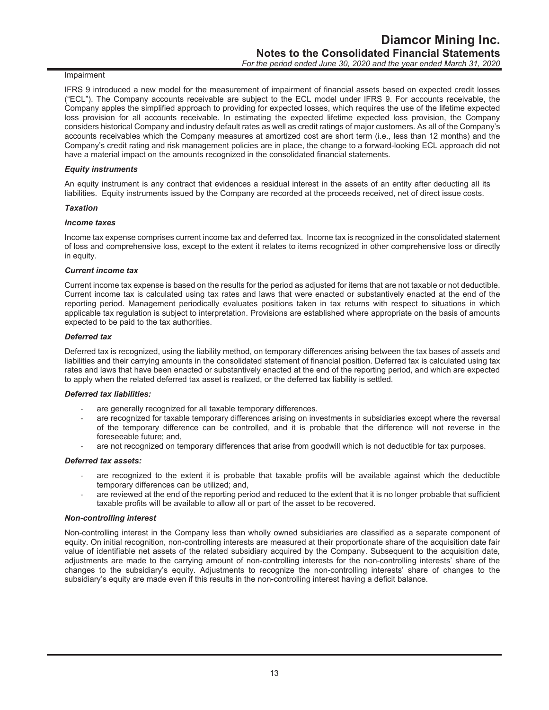#### Impairment

IFRS 9 introduced a new model for the measurement of impairment of financial assets based on expected credit losses ("ECL"). The Company accounts receivable are subject to the ECL model under IFRS 9. For accounts receivable, the Company apples the simplified approach to providing for expected losses, which requires the use of the lifetime expected loss provision for all accounts receivable. In estimating the expected lifetime expected loss provision, the Company considers historical Company and industry default rates as well as credit ratings of major customers. As all of the Company's accounts receivables which the Company measures at amortized cost are short term (i.e., less than 12 months) and the Company's credit rating and risk management policies are in place, the change to a forward-looking ECL approach did not have a material impact on the amounts recognized in the consolidated financial statements.

#### *Equity instruments*

An equity instrument is any contract that evidences a residual interest in the assets of an entity after deducting all its liabilities. Equity instruments issued by the Company are recorded at the proceeds received, net of direct issue costs.

#### *Taxation*

#### *Income taxes*

Income tax expense comprises current income tax and deferred tax. Income tax is recognized in the consolidated statement of loss and comprehensive loss, except to the extent it relates to items recognized in other comprehensive loss or directly in equity.

#### *Current income tax*

Current income tax expense is based on the results for the period as adjusted for items that are not taxable or not deductible. Current income tax is calculated using tax rates and laws that were enacted or substantively enacted at the end of the reporting period. Management periodically evaluates positions taken in tax returns with respect to situations in which applicable tax regulation is subject to interpretation. Provisions are established where appropriate on the basis of amounts expected to be paid to the tax authorities.

#### *Deferred tax*

Deferred tax is recognized, using the liability method, on temporary differences arising between the tax bases of assets and liabilities and their carrying amounts in the consolidated statement of financial position. Deferred tax is calculated using tax rates and laws that have been enacted or substantively enacted at the end of the reporting period, and which are expected to apply when the related deferred tax asset is realized, or the deferred tax liability is settled.

#### *Deferred tax liabilities:*

- are generally recognized for all taxable temporary differences.
- are recognized for taxable temporary differences arising on investments in subsidiaries except where the reversal of the temporary difference can be controlled, and it is probable that the difference will not reverse in the foreseeable future; and,
- are not recognized on temporary differences that arise from goodwill which is not deductible for tax purposes.

#### *Deferred tax assets:*

- are recognized to the extent it is probable that taxable profits will be available against which the deductible temporary differences can be utilized; and,
- are reviewed at the end of the reporting period and reduced to the extent that it is no longer probable that sufficient taxable profits will be available to allow all or part of the asset to be recovered.

#### *Non-controlling interest*

Non-controlling interest in the Company less than wholly owned subsidiaries are classified as a separate component of equity. On initial recognition, non-controlling interests are measured at their proportionate share of the acquisition date fair value of identifiable net assets of the related subsidiary acquired by the Company. Subsequent to the acquisition date, adjustments are made to the carrying amount of non-controlling interests for the non-controlling interests' share of the changes to the subsidiary's equity. Adjustments to recognize the non-controlling interests' share of changes to the subsidiary's equity are made even if this results in the non-controlling interest having a deficit balance.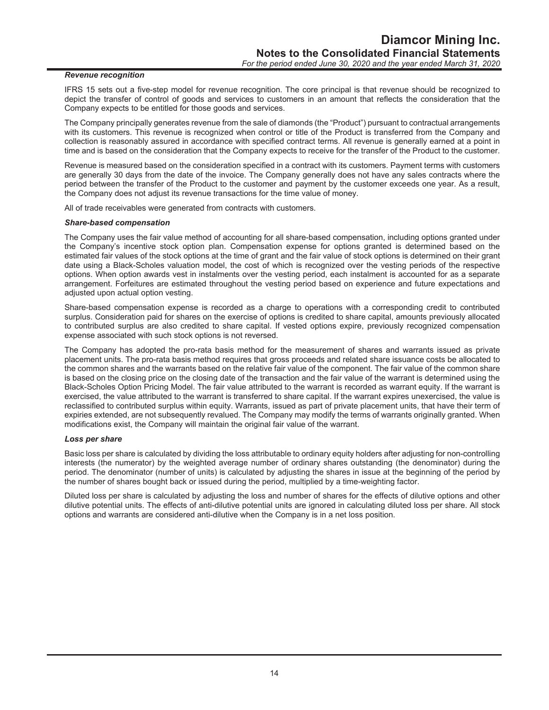#### *Revenue recognition*

IFRS 15 sets out a five-step model for revenue recognition. The core principal is that revenue should be recognized to depict the transfer of control of goods and services to customers in an amount that reflects the consideration that the Company expects to be entitled for those goods and services.

The Company principally generates revenue from the sale of diamonds (the "Product") pursuant to contractual arrangements with its customers. This revenue is recognized when control or title of the Product is transferred from the Company and collection is reasonably assured in accordance with specified contract terms. All revenue is generally earned at a point in time and is based on the consideration that the Company expects to receive for the transfer of the Product to the customer.

Revenue is measured based on the consideration specified in a contract with its customers. Payment terms with customers are generally 30 days from the date of the invoice. The Company generally does not have any sales contracts where the period between the transfer of the Product to the customer and payment by the customer exceeds one year. As a result, the Company does not adjust its revenue transactions for the time value of money.

All of trade receivables were generated from contracts with customers.

#### *Share-based compensation*

The Company uses the fair value method of accounting for all share-based compensation, including options granted under the Company's incentive stock option plan. Compensation expense for options granted is determined based on the estimated fair values of the stock options at the time of grant and the fair value of stock options is determined on their grant date using a Black-Scholes valuation model, the cost of which is recognized over the vesting periods of the respective options. When option awards vest in instalments over the vesting period, each instalment is accounted for as a separate arrangement. Forfeitures are estimated throughout the vesting period based on experience and future expectations and adiusted upon actual option vesting.

Share-based compensation expense is recorded as a charge to operations with a corresponding credit to contributed surplus. Consideration paid for shares on the exercise of options is credited to share capital, amounts previously allocated to contributed surplus are also credited to share capital. If vested options expire, previously recognized compensation expense associated with such stock options is not reversed.

The Company has adopted the pro-rata basis method for the measurement of shares and warrants issued as private placement units. The pro-rata basis method requires that gross proceeds and related share issuance costs be allocated to the common shares and the warrants based on the relative fair value of the component. The fair value of the common share is based on the closing price on the closing date of the transaction and the fair value of the warrant is determined using the Black-Scholes Option Pricing Model. The fair value attributed to the warrant is recorded as warrant equity. If the warrant is exercised, the value attributed to the warrant is transferred to share capital. If the warrant expires unexercised, the value is reclassified to contributed surplus within equity. Warrants, issued as part of private placement units, that have their term of expiries extended, are not subsequently revalued. The Company may modify the terms of warrants originally granted. When modifications exist, the Company will maintain the original fair value of the warrant.

#### *Loss per share*

Basic loss per share is calculated by dividing the loss attributable to ordinary equity holders after adjusting for non-controlling interests (the numerator) by the weighted average number of ordinary shares outstanding (the denominator) during the period. The denominator (number of units) is calculated by adjusting the shares in issue at the beginning of the period by the number of shares bought back or issued during the period, multiplied by a time-weighting factor.

Diluted loss per share is calculated by adjusting the loss and number of shares for the effects of dilutive options and other dilutive potential units. The effects of anti-dilutive potential units are ignored in calculating diluted loss per share. All stock options and warrants are considered anti-dilutive when the Company is in a net loss position.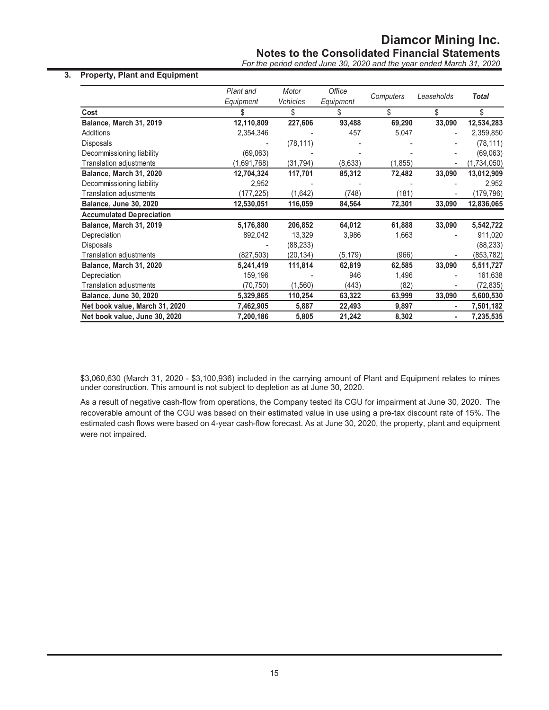# **Notes to the Consolidated Financial Statements**

*For the period ended June 30, 2020 and the year ended March 31, 2020* 

# **3. Property, Plant and Equipment**

|                                 | Plant and   | Motor     | Office    | Computers | Leaseholds     | <b>Total</b> |
|---------------------------------|-------------|-----------|-----------|-----------|----------------|--------------|
|                                 | Equipment   | Vehicles  | Equipment |           |                |              |
| Cost                            | \$          | \$        | \$        | \$        | \$             | \$           |
| Balance, March 31, 2019         | 12,110,809  | 227,606   | 93,488    | 69,290    | 33,090         | 12,534,283   |
| Additions                       | 2,354,346   |           | 457       | 5,047     |                | 2,359,850    |
| Disposals                       |             | (78, 111) |           |           |                | (78, 111)    |
| Decommissioning liability       | (69,063)    |           |           |           |                | (69,063)     |
| Translation adjustments         | (1,691,768) | (31, 794) | (8,633)   | (1, 855)  |                | (1,734,050)  |
| Balance, March 31, 2020         | 12,704,324  | 117,701   | 85,312    | 72,482    | 33,090         | 13,012,909   |
| Decommissioning liability       | 2,952       |           |           |           |                | 2,952        |
| Translation adjustments         | (177, 225)  | (1,642)   | (748)     | (181)     |                | (179, 796)   |
| <b>Balance, June 30, 2020</b>   | 12,530,051  | 116,059   | 84,564    | 72,301    | 33,090         | 12,836,065   |
| <b>Accumulated Depreciation</b> |             |           |           |           |                |              |
| Balance, March 31, 2019         | 5,176,880   | 206,852   | 64,012    | 61,888    | 33,090         | 5,542,722    |
| Depreciation                    | 892,042     | 13,329    | 3,986     | 1,663     |                | 911,020      |
| Disposals                       |             | (88, 233) |           |           |                | (88, 233)    |
| Translation adjustments         | (827, 503)  | (20, 134) | (5, 179)  | (966)     |                | (853,782)    |
| Balance, March 31, 2020         | 5,241,419   | 111,814   | 62,819    | 62,585    | 33,090         | 5,511,727    |
| Depreciation                    | 159,196     |           | 946       | 1,496     |                | 161,638      |
| Translation adjustments         | (70, 750)   | (1,560)   | (443)     | (82)      |                | (72, 835)    |
| Balance, June 30, 2020          | 5,329,865   | 110,254   | 63,322    | 63,999    | 33,090         | 5,600,530    |
| Net book value, March 31, 2020  | 7,462,905   | 5,887     | 22,493    | 9,897     | $\blacksquare$ | 7,501,182    |
| Net book value, June 30, 2020   | 7,200,186   | 5,805     | 21,242    | 8,302     | $\blacksquare$ | 7,235,535    |

\$3,060,630 (March 31, 2020 - \$3,100,936) included in the carrying amount of Plant and Equipment relates to mines under construction. This amount is not subject to depletion as at June 30, 2020.

As a result of negative cash-flow from operations, the Company tested its CGU for impairment at June 30, 2020. The recoverable amount of the CGU was based on their estimated value in use using a pre-tax discount rate of 15%. The estimated cash flows were based on 4-year cash-flow forecast. As at June 30, 2020, the property, plant and equipment were not impaired.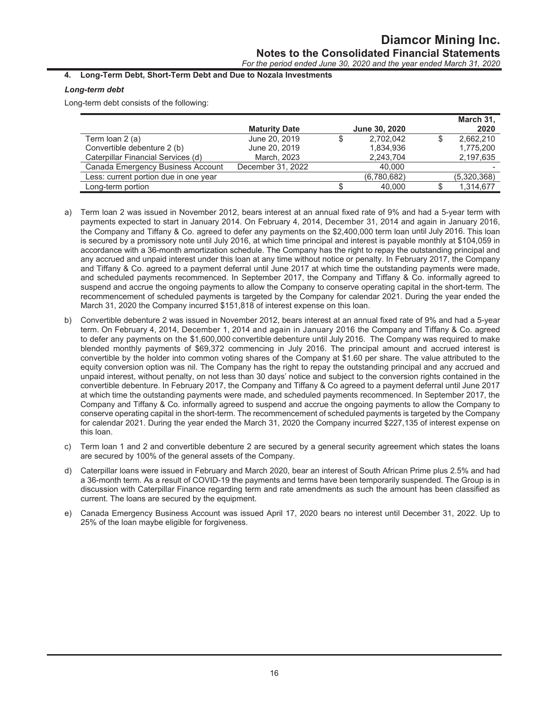*For the period ended June 30, 2020 and the year ended March 31, 2020* 

# **4. Long-Term Debt, Short-Term Debt and Due to Nozala Investments**

#### *Long-term debt*

Long-term debt consists of the following:

|                                       | <b>Maturity Date</b> | June 30, 2020 | March 31,<br>2020 |
|---------------------------------------|----------------------|---------------|-------------------|
| Term loan 2 (a)                       | June 20, 2019        | 2,702,042     | 2,662,210         |
| Convertible debenture 2 (b)           | June 20, 2019        | 1,834,936     | 1,775,200         |
| Caterpillar Financial Services (d)    | March, 2023          | 2,243,704     | 2,197,635         |
| Canada Emergency Business Account     | December 31, 2022    | 40.000        |                   |
| Less: current portion due in one year |                      | (6,780,682)   | (5,320,368)       |
| Long-term portion                     |                      | 40,000        | 1,314,677         |

- a) Term loan 2 was issued in November 2012, bears interest at an annual fixed rate of 9% and had a 5-year term with payments expected to start in January 2014. On February 4, 2014, December 31, 2014 and again in January 2016, the Company and Tiffany & Co. agreed to defer any payments on the \$2,400,000 term loan until July 2016. This loan is secured by a promissory note until July 2016, at which time principal and interest is payable monthly at \$104,059 in accordance with a 36-month amortization schedule. The Company has the right to repay the outstanding principal and any accrued and unpaid interest under this loan at any time without notice or penalty. In February 2017, the Company and Tiffany & Co. agreed to a payment deferral until June 2017 at which time the outstanding payments were made, and scheduled payments recommenced. In September 2017, the Company and Tiffany & Co. informally agreed to suspend and accrue the ongoing payments to allow the Company to conserve operating capital in the short-term. The recommencement of scheduled payments is targeted by the Company for calendar 2021. During the year ended the March 31, 2020 the Company incurred \$151,818 of interest expense on this loan.
- b) Convertible debenture 2 was issued in November 2012, bears interest at an annual fixed rate of 9% and had a 5-year term. On February 4, 2014, December 1, 2014 and again in January 2016 the Company and Tiffany & Co. agreed to defer any payments on the \$1,600,000 convertible debenture until July 2016. The Company was required to make blended monthly payments of \$69,372 commencing in July 2016. The principal amount and accrued interest is convertible by the holder into common voting shares of the Company at \$1.60 per share. The value attributed to the equity conversion option was nil. The Company has the right to repay the outstanding principal and any accrued and unpaid interest, without penalty, on not less than 30 days' notice and subject to the conversion rights contained in the convertible debenture. In February 2017, the Company and Tiffany & Co agreed to a payment deferral until June 2017 at which time the outstanding payments were made, and scheduled payments recommenced. In September 2017, the Company and Tiffany & Co. informally agreed to suspend and accrue the ongoing payments to allow the Company to conserve operating capital in the short-term. The recommencement of scheduled payments is targeted by the Company for calendar 2021. During the year ended the March 31, 2020 the Company incurred \$227,135 of interest expense on this loan.
- c) Term loan 1 and 2 and convertible debenture 2 are secured by a general security agreement which states the loans are secured by 100% of the general assets of the Company.
- d) Caterpillar loans were issued in February and March 2020, bear an interest of South African Prime plus 2.5% and had a 36-month term. As a result of COVID-19 the payments and terms have been temporarily suspended. The Group is in discussion with Caterpillar Finance regarding term and rate amendments as such the amount has been classified as current. The loans are secured by the equipment.
- Canada Emergency Business Account was issued April 17, 2020 bears no interest until December 31, 2022. Up to 25% of the loan maybe eligible for forgiveness.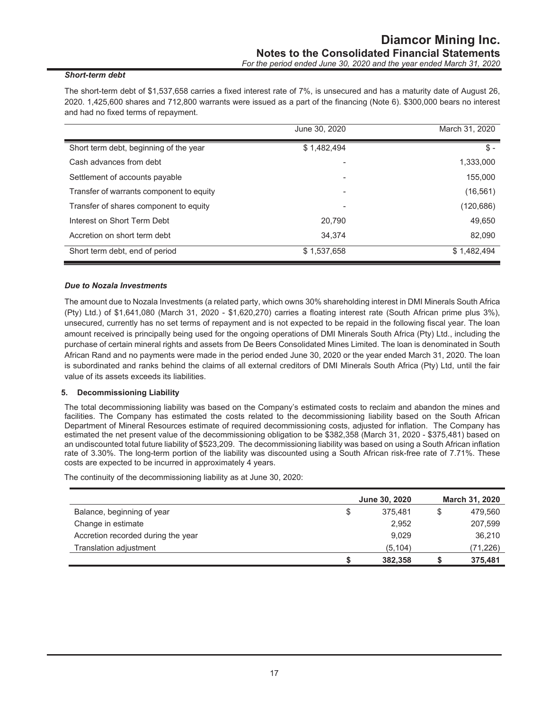#### *Short-term debt*

The short-term debt of \$1,537,658 carries a fixed interest rate of 7%, is unsecured and has a maturity date of August 26, 2020. 1,425,600 shares and 712,800 warrants were issued as a part of the financing (Note 6). \$300,000 bears no interest and had no fixed terms of repayment.

|                                          | June 30, 2020 | March 31, 2020  |
|------------------------------------------|---------------|-----------------|
| Short term debt, beginning of the year   | \$1,482,494   | $\mathcal{S}$ - |
| Cash advances from debt                  |               | 1,333,000       |
| Settlement of accounts payable           |               | 155.000         |
| Transfer of warrants component to equity |               | (16, 561)       |
| Transfer of shares component to equity   |               | (120, 686)      |
| Interest on Short Term Debt              | 20.790        | 49,650          |
| Accretion on short term debt             | 34.374        | 82,090          |
| Short term debt, end of period           | \$1,537,658   | \$1,482,494     |

#### *Due to Nozala Investments*

The amount due to Nozala Investments (a related party, which owns 30% shareholding interest in DMI Minerals South Africa (Pty) Ltd.) of \$1,641,080 (March 31, 2020 - \$1,620,270) carries a floating interest rate (South African prime plus 3%), unsecured, currently has no set terms of repayment and is not expected to be repaid in the following fiscal year. The loan amount received is principally being used for the ongoing operations of DMI Minerals South Africa (Pty) Ltd., including the purchase of certain mineral rights and assets from De Beers Consolidated Mines Limited. The loan is denominated in South African Rand and no payments were made in the period ended June 30, 2020 or the year ended March 31, 2020. The loan is subordinated and ranks behind the claims of all external creditors of DMI Minerals South Africa (Pty) Ltd, until the fair value of its assets exceeds its liabilities.

#### **5. Decommissioning Liability**

The total decommissioning liability was based on the Company's estimated costs to reclaim and abandon the mines and facilities. The Company has estimated the costs related to the decommissioning liability based on the South African Department of Mineral Resources estimate of required decommissioning costs, adjusted for inflation. The Company has estimated the net present value of the decommissioning obligation to be \$382,358 (March 31, 2020 - \$375,481) based on an undiscounted total future liability of \$523,209. The decommissioning liability was based on using a South African inflation rate of 3.30%. The long-term portion of the liability was discounted using a South African risk-free rate of 7.71%. These costs are expected to be incurred in approximately 4 years.

The continuity of the decommissioning liability as at June 30, 2020:

|                                    | June 30, 2020 |   | March 31, 2020 |
|------------------------------------|---------------|---|----------------|
| Balance, beginning of year         | \$<br>375.481 | S | 479,560        |
| Change in estimate                 | 2,952         |   | 207,599        |
| Accretion recorded during the year | 9.029         |   | 36,210         |
| Translation adiustment             | (5, 104)      |   | (71, 226)      |
|                                    | 382.358       |   | 375,481        |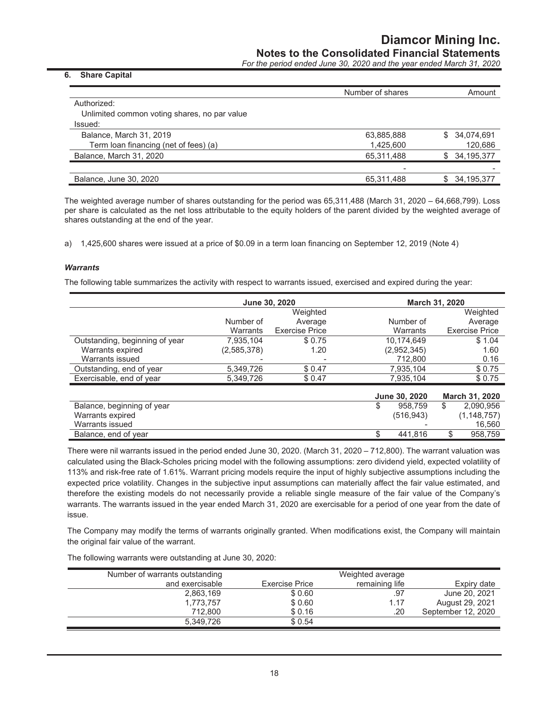*For the period ended June 30, 2020 and the year ended March 31, 2020* 

#### **6. Share Capital**

|                                              | Number of shares | Amount            |
|----------------------------------------------|------------------|-------------------|
| Authorized:                                  |                  |                   |
| Unlimited common voting shares, no par value |                  |                   |
| Issued:                                      |                  |                   |
| Balance, March 31, 2019                      | 63,885,888       | 34,074,691<br>\$. |
| Term loan financing (net of fees) (a)        | 1,425,600        | 120,686           |
| Balance, March 31, 2020                      | 65,311,488       | 34,195,377<br>\$. |
|                                              |                  |                   |
| Balance, June 30, 2020                       | 65,311,488       | 34,195,377        |
|                                              |                  |                   |

The weighted average number of shares outstanding for the period was 65,311,488 (March 31, 2020 – 64,668,799). Loss per share is calculated as the net loss attributable to the equity holders of the parent divided by the weighted average of shares outstanding at the end of the year.

a) 1,425,600 shares were issued at a price of \$0.09 in a term loan financing on September 12, 2019 (Note 4)

#### *Warrants*

The following table summarizes the activity with respect to warrants issued, exercised and expired during the year:

|                                |             | June 30, 2020         |             | March 31, 2020        |
|--------------------------------|-------------|-----------------------|-------------|-----------------------|
|                                |             | Weighted              |             | Weighted              |
|                                | Number of   | Average               | Number of   | Average               |
|                                | Warrants    | <b>Exercise Price</b> | Warrants    | <b>Exercise Price</b> |
| Outstanding, beginning of year | 7,935,104   | \$0.75                | 10.174.649  | \$1.04                |
| Warrants expired               | (2,585,378) | 1.20                  | (2,952,345) | 1.60                  |
| Warrants issued                |             |                       | 712,800     | 0.16                  |
| Outstanding, end of year       | 5,349,726   | \$ 0.47               | 7,935,104   | \$0.75                |
| Exercisable, end of year       | 5,349,726   | \$0.47                | 7,935,104   | \$0.75                |
|                                |             |                       |             |                       |

|                            | June 30, 2020            | <b>March 31, 2020</b> |
|----------------------------|--------------------------|-----------------------|
| Balance, beginning of year | 958.759                  | 2.090.956             |
| Warrants expired           | (516.943)                | (1, 148, 757)         |
| Warrants issued            | $\overline{\phantom{a}}$ | 16.560                |
| Balance, end of year       | 441.816                  | 958,759               |

There were nil warrants issued in the period ended June 30, 2020. (March 31, 2020 – 712,800). The warrant valuation was calculated using the Black-Scholes pricing model with the following assumptions: zero dividend yield, expected volatility of 113% and risk-free rate of 1.61%. Warrant pricing models require the input of highly subjective assumptions including the expected price volatility. Changes in the subjective input assumptions can materially affect the fair value estimated, and therefore the existing models do not necessarily provide a reliable single measure of the fair value of the Company's warrants. The warrants issued in the year ended March 31, 2020 are exercisable for a period of one year from the date of issue.

The Company may modify the terms of warrants originally granted. When modifications exist, the Company will maintain the original fair value of the warrant.

The following warrants were outstanding at June 30, 2020:

| Number of warrants outstanding |                | Weighted average |                    |
|--------------------------------|----------------|------------------|--------------------|
| and exercisable                | Exercise Price | remaining life   | Expiry date        |
| 2,863,169                      | \$0.60         | .97              | June 20, 2021      |
| 1,773,757                      | \$0.60         | 1.17             | August 29, 2021    |
| 712.800                        | \$0.16         | .20              | September 12, 2020 |
| 5.349.726                      | \$0.54         |                  |                    |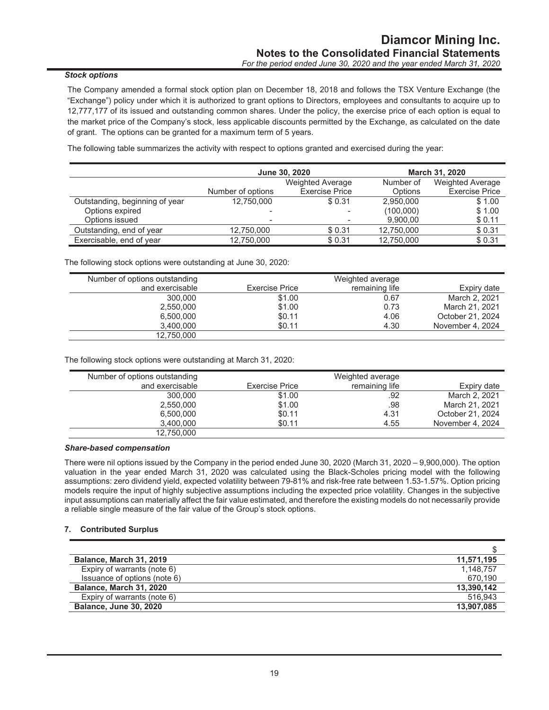#### *Stock options*

The Company amended a formal stock option plan on December 18, 2018 and follows the TSX Venture Exchange (the "Exchange") policy under which it is authorized to grant options to Directors, employees and consultants to acquire up to 12,777,177 of its issued and outstanding common shares. Under the policy, the exercise price of each option is equal to the market price of the Company's stock, less applicable discounts permitted by the Exchange, as calculated on the date of grant. The options can be granted for a maximum term of 5 years.

The following table summarizes the activity with respect to options granted and exercised during the year:

|                                |                   | June 30, 2020           |            | <b>March 31, 2020</b>   |
|--------------------------------|-------------------|-------------------------|------------|-------------------------|
|                                |                   | <b>Weighted Average</b> | Number of  | <b>Weighted Average</b> |
|                                | Number of options | <b>Exercise Price</b>   | Options    | <b>Exercise Price</b>   |
| Outstanding, beginning of year | 12,750,000        | \$0.31                  | 2.950.000  | \$1.00                  |
| Options expired                |                   |                         | (100,000)  | \$1.00                  |
| Options issued                 |                   |                         | 9,900,00   | \$0.11                  |
| Outstanding, end of year       | 12,750,000        | \$0.31                  | 12,750,000 | \$0.31                  |
| Exercisable, end of year       | 12,750,000        | \$0.31                  | 12,750,000 | \$0.31                  |

The following stock options were outstanding at June 30, 2020:

| Number of options outstanding |                | Weighted average |                  |
|-------------------------------|----------------|------------------|------------------|
| and exercisable               | Exercise Price | remaining life   | Expiry date      |
| 300,000                       | \$1.00         | 0.67             | March 2, 2021    |
| 2,550,000                     | \$1.00         | 0.73             | March 21, 2021   |
| 6,500,000                     | \$0.11         | 4.06             | October 21, 2024 |
| 3,400,000                     | \$0.11         | 4.30             | November 4, 2024 |
| 12,750,000                    |                |                  |                  |

The following stock options were outstanding at March 31, 2020:

| Number of options outstanding |                | Weighted average |                  |
|-------------------------------|----------------|------------------|------------------|
| and exercisable               | Exercise Price | remaining life   | Expiry date      |
| 300,000                       | \$1.00         | .92              | March 2, 2021    |
| 2,550,000                     | \$1.00         | .98              | March 21, 2021   |
| 6.500.000                     | \$0.11         | 4.31             | October 21, 2024 |
| 3,400,000                     | \$0.11         | 4.55             | November 4, 2024 |
| 12,750,000                    |                |                  |                  |

#### *Share-based compensation*

There were nil options issued by the Company in the period ended June 30, 2020 (March 31, 2020 – 9,900,000). The option valuation in the year ended March 31, 2020 was calculated using the Black-Scholes pricing model with the following assumptions: zero dividend yield, expected volatility between 79-81% and risk-free rate between 1.53-1.57%. Option pricing models require the input of highly subjective assumptions including the expected price volatility. Changes in the subjective input assumptions can materially affect the fair value estimated, and therefore the existing models do not necessarily provide a reliable single measure of the fair value of the Group's stock options.

#### **7. Contributed Surplus**

| <b>Balance, March 31, 2019</b> | 11,571,195 |
|--------------------------------|------------|
| Expiry of warrants (note 6)    | 1.148.757  |
| Issuance of options (note 6)   | 670.190    |
| Balance, March 31, 2020        | 13,390,142 |
| Expiry of warrants (note 6)    | 516.943    |
| <b>Balance, June 30, 2020</b>  | 13,907,085 |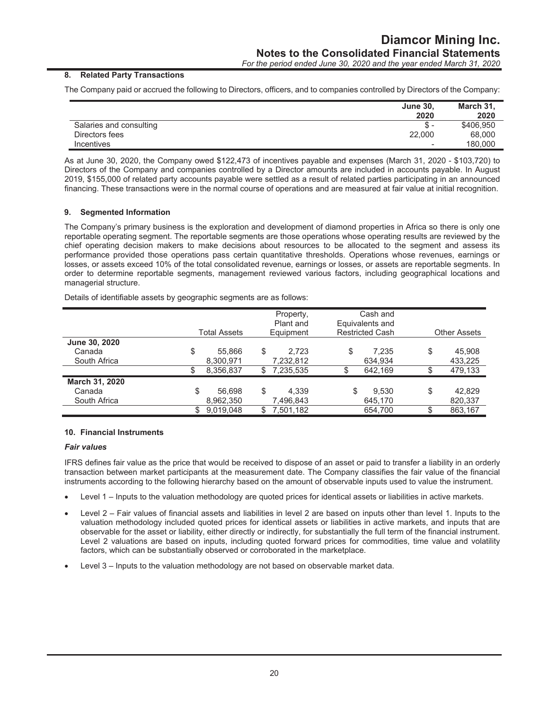#### **8. Related Party Transactions**

The Company paid or accrued the following to Directors, officers, and to companies controlled by Directors of the Company:

|                         | <b>June 30,</b>          | March 31, |
|-------------------------|--------------------------|-----------|
|                         | 2020                     | 2020      |
| Salaries and consulting | \$.                      | \$406,950 |
| Directors fees          | 22,000                   | 68,000    |
| <b>Incentives</b>       | $\overline{\phantom{a}}$ | 180.000   |

As at June 30, 2020, the Company owed \$122,473 of incentives payable and expenses (March 31, 2020 - \$103,720) to Directors of the Company and companies controlled by a Director amounts are included in accounts payable. In August 2019, \$155,000 of related party accounts payable were settled as a result of related parties participating in an announced financing. These transactions were in the normal course of operations and are measured at fair value at initial recognition.

#### **9. Segmented Information**

The Company's primary business is the exploration and development of diamond properties in Africa so there is only one reportable operating segment. The reportable segments are those operations whose operating results are reviewed by the chief operating decision makers to make decisions about resources to be allocated to the segment and assess its performance provided those operations pass certain quantitative thresholds. Operations whose revenues, earnings or losses, or assets exceed 10% of the total consolidated revenue, earnings or losses, or assets are reportable segments. In order to determine reportable segments, management reviewed various factors, including geographical locations and managerial structure.

Details of identifiable assets by geographic segments are as follows:

|                       |     | Total Assets |    | Property,<br>Plant and<br>Equipment | Cash and<br>Equivalents and<br><b>Restricted Cash</b> | <b>Other Assets</b> |
|-----------------------|-----|--------------|----|-------------------------------------|-------------------------------------------------------|---------------------|
| June 30, 2020         |     |              |    |                                     |                                                       |                     |
| Canada                | \$  | 55.866       | \$ | 2.723                               | \$<br>7.235                                           | \$<br>45.908        |
| South Africa          |     | 8,300,971    |    | 7,232,812                           | 634,934                                               | 433,225             |
|                       | \$. | 8,356,837    | S  | 7,235,535                           | 642.169                                               | 479,133             |
| <b>March 31, 2020</b> |     |              |    |                                     |                                                       |                     |
| Canada                | \$  | 56.698       | \$ | 4.339                               | \$<br>9.530                                           | \$<br>42.829        |
| South Africa          |     | 8,962,350    |    | 7,496,843                           | 645.170                                               | 820,337             |
|                       | \$. | 9.019.048    | S  | 7.501.182                           | 654.700                                               | \$<br>863.167       |

#### **10. Financial Instruments**

#### *Fair values*

IFRS defines fair value as the price that would be received to dispose of an asset or paid to transfer a liability in an orderly transaction between market participants at the measurement date. The Company classifies the fair value of the financial instruments according to the following hierarchy based on the amount of observable inputs used to value the instrument.

- Level  $1$  Inputs to the valuation methodology are quoted prices for identical assets or liabilities in active markets.
- Level 2 Fair values of financial assets and liabilities in level 2 are based on inputs other than level 1. Inputs to the valuation methodology included quoted prices for identical assets or liabilities in active markets, and inputs that are observable for the asset or liability, either directly or indirectly, for substantially the full term of the financial instrument. Level 2 valuations are based on inputs, including quoted forward prices for commodities, time value and volatility factors, which can be substantially observed or corroborated in the marketplace.
- Level  $3$  Inputs to the valuation methodology are not based on observable market data.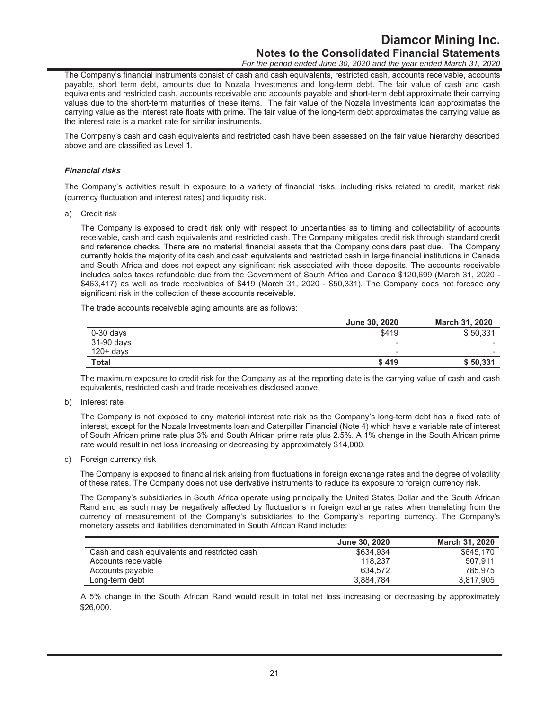# **Diamcor Mining Inc. Notes to the Consolidated Financial Statements**

*For the period ended June 30, 2020 and the year ended March 31, 2020* 

The Company's financial instruments consist of cash and cash equivalents, restricted cash, accounts receivable, accounts payable, short term debt, amounts due to Nozala Investments and long-term debt. The fair value of cash and cash equivalents and restricted cash, accounts receivable and accounts payable and short-term debt approximate their carrying values due to the short-term maturities of these items. The fair value of the Nozala Investments loan approximates the carrying value as the interest rate floats with prime. The fair value of the long-term debt approximates the carrying value as the interest rate is a market rate for similar instruments.

The Company's cash and cash equivalents and restricted cash have been assessed on the fair value hierarchy described above and are classified as Level 1.

#### *Financial risks*

The Company's activities result in exposure to a variety of financial risks, including risks related to credit, market risk (currency fluctuation and interest rates) and liquidity risk.

a) Credit risk

The Company is exposed to credit risk only with respect to uncertainties as to timing and collectability of accounts receivable, cash and cash equivalents and restricted cash. The Company mitigates credit risk through standard credit and reference checks. There are no material financial assets that the Company considers past due. The Company currently holds the majority of its cash and cash equivalents and restricted cash in large financial institutions in Canada and South Africa and does not expect any significant risk associated with those deposits. The accounts receivable includes sales taxes refundable due from the Government of South Africa and Canada \$120,699 (March 31, 2020 - \$463,417) as well as trade receivables of \$419 (March 31, 2020 - \$50,331). The Company does not foresee any significant risk in the collection of these accounts receivable.

The trade accounts receivable aging amounts are as follows:

|              | June 30, 2020            | <b>March 31, 2020</b> |
|--------------|--------------------------|-----------------------|
| $0-30$ days  | \$419                    | \$50.331              |
| 31-90 days   | $\overline{\phantom{0}}$ |                       |
| $120 + days$ |                          | -                     |
| <b>Total</b> | \$419                    | \$50,331              |

The maximum exposure to credit risk for the Company as at the reporting date is the carrying value of cash and cash equivalents, restricted cash and trade receivables disclosed above.

b) Interest rate

The Company is not exposed to any material interest rate risk as the Company's long-term debt has a fixed rate of interest, except for the Nozala Investments loan and Caterpillar Financial (Note 4) which have a variable rate of interest of South African prime rate plus 3% and South African prime rate plus 2.5%. A 1% change in the South African prime rate would result in net loss increasing or decreasing by approximately \$14,000.

c) Foreign currency risk

The Company is exposed to financial risk arising from fluctuations in foreign exchange rates and the degree of volatility of these rates. The Company does not use derivative instruments to reduce its exposure to foreign currency risk.

The Company's subsidiaries in South Africa operate using principally the United States Dollar and the South African Rand and as such may be negatively affected by fluctuations in foreign exchange rates when translating from the currency of measurement of the Company's subsidiaries to the Company's reporting currency. The Company's monetary assets and liabilities denominated in South African Rand include:

|                                               | June 30, 2020 | <b>March 31, 2020</b> |
|-----------------------------------------------|---------------|-----------------------|
| Cash and cash equivalents and restricted cash | \$634.934     | \$645.170             |
| Accounts receivable                           | 118.237       | 507.911               |
| Accounts payable                              | 634.572       | 785.975               |
| Long-term debt                                | 3.884.784     | 3.817.905             |

A 5% change in the South African Rand would result in total net loss increasing or decreasing by approximately \$26,000.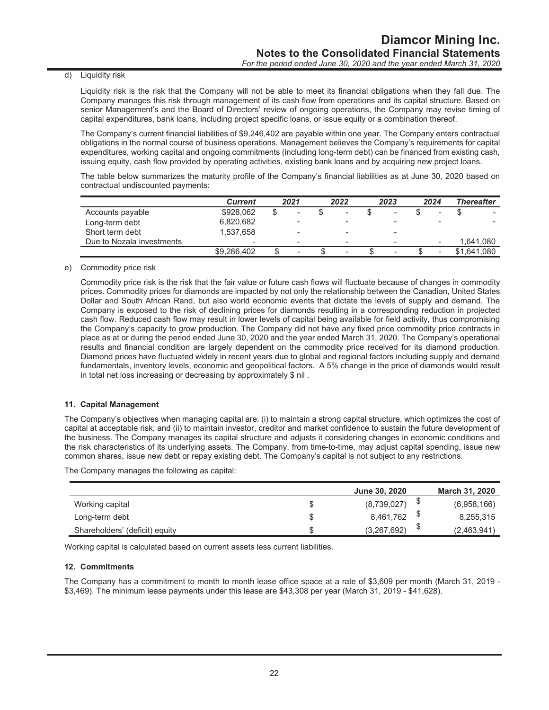#### d) Liquidity risk

Liquidity risk is the risk that the Company will not be able to meet its financial obligations when they fall due. The Company manages this risk through management of its cash flow from operations and its capital structure. Based on senior Management's and the Board of Directors' review of ongoing operations, the Company may revise timing of capital expenditures, bank loans, including project specific loans, or issue equity or a combination thereof.

The Company's current financial liabilities of \$9,246,402 are payable within one year. The Company enters contractual obligations in the normal course of business operations. Management believes the Company's requirements for capital expenditures, working capital and ongoing commitments (including long-term debt) can be financed from existing cash, issuing equity, cash flow provided by operating activities, existing bank loans and by acquiring new project loans.

The table below summarizes the maturity profile of the Company's financial liabilities as at June 30, 2020 based on contractual undiscounted payments:

|                           | <b>Current</b>           | 2021 |                          | 2022 |                          | 2023 |   | 2024 |                          | <b>Thereafter</b>        |
|---------------------------|--------------------------|------|--------------------------|------|--------------------------|------|---|------|--------------------------|--------------------------|
| Accounts payable          | \$928,062                |      | $\overline{\phantom{a}}$ |      | -                        |      | - |      | $\overline{\phantom{a}}$ | $\overline{\phantom{a}}$ |
| Long-term debt            | 6,820,682                |      | $\overline{\phantom{a}}$ |      | $\overline{\phantom{a}}$ |      |   |      |                          |                          |
| Short term debt           | 1.537.658                |      |                          |      | -                        |      |   |      |                          |                          |
| Due to Nozala investments | $\overline{\phantom{0}}$ |      | $\overline{\phantom{0}}$ |      | $\overline{\phantom{0}}$ |      |   |      |                          | 1,641,080                |
|                           | \$9,286,402              |      | $\overline{\phantom{0}}$ |      | $\overline{\phantom{0}}$ |      | ۰ |      | ۰                        | \$1,641,080              |

#### e) Commodity price risk

Commodity price risk is the risk that the fair value or future cash flows will fluctuate because of changes in commodity prices. Commodity prices for diamonds are impacted by not only the relationship between the Canadian, United States Dollar and South African Rand, but also world economic events that dictate the levels of supply and demand. The Company is exposed to the risk of declining prices for diamonds resulting in a corresponding reduction in projected cash flow. Reduced cash flow may result in lower levels of capital being available for field activity, thus compromising the Company's capacity to grow production. The Company did not have any fixed price commodity price contracts in place as at or during the period ended June 30, 2020 and the year ended March 31, 2020. The Company's operational results and financial condition are largely dependent on the commodity price received for its diamond production. Diamond prices have fluctuated widely in recent years due to global and regional factors including supply and demand fundamentals, inventory levels, economic and geopolitical factors. A 5% change in the price of diamonds would result in total net loss increasing or decreasing by approximately \$ nil .

#### **11. Capital Management**

The Company's objectives when managing capital are: (i) to maintain a strong capital structure, which optimizes the cost of capital at acceptable risk; and (ii) to maintain investor, creditor and market confidence to sustain the future development of the business. The Company manages its capital structure and adjusts it considering changes in economic conditions and the risk characteristics of its underlying assets. The Company, from time-to-time, may adjust capital spending, issue new common shares, issue new debt or repay existing debt. The Company's capital is not subject to any restrictions.

The Company manages the following as capital:

|                                | <b>June 30, 2020</b> |   | <b>March 31, 2020</b> |
|--------------------------------|----------------------|---|-----------------------|
| Working capital                | (8,739,027)          |   | (6,958,166)           |
| Long-term debt                 | 8,461,762            |   | 8,255,315             |
| Shareholders' (deficit) equity | (3, 267, 692)        | ง | (2,463,941)           |

Working capital is calculated based on current assets less current liabilities.

#### **12. Commitments**

The Company has a commitment to month to month lease office space at a rate of \$3,609 per month (March 31, 2019 - \$3,469). The minimum lease payments under this lease are \$43,308 per year (March 31, 2019 - \$41,628).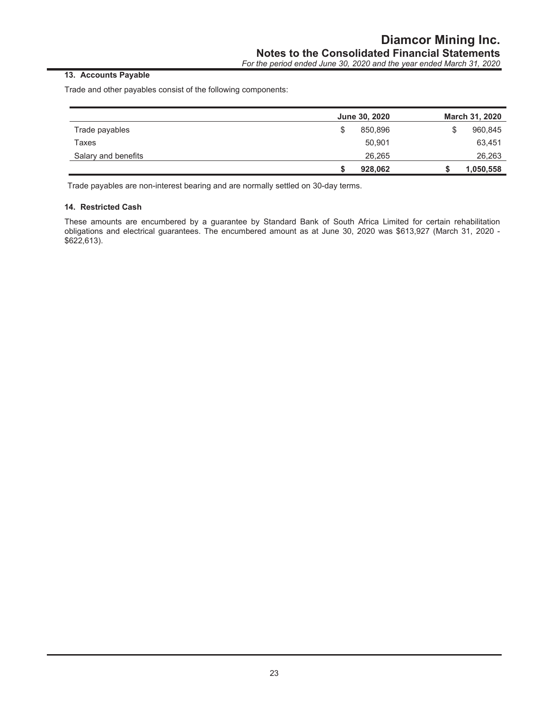# **13. Accounts Payable**

Trade and other payables consist of the following components:

|                     | June 30, 2020 |         | March 31, 2020 |
|---------------------|---------------|---------|----------------|
| Trade payables      |               | 850,896 | 960,845        |
| Taxes               |               | 50.901  | 63,451         |
| Salary and benefits |               | 26.265  | 26,263         |
|                     |               | 928,062 | 1,050,558      |

Trade payables are non-interest bearing and are normally settled on 30-day terms.

### **14. Restricted Cash**

These amounts are encumbered by a guarantee by Standard Bank of South Africa Limited for certain rehabilitation obligations and electrical guarantees. The encumbered amount as at June 30, 2020 was \$613,927 (March 31, 2020 - \$622,613).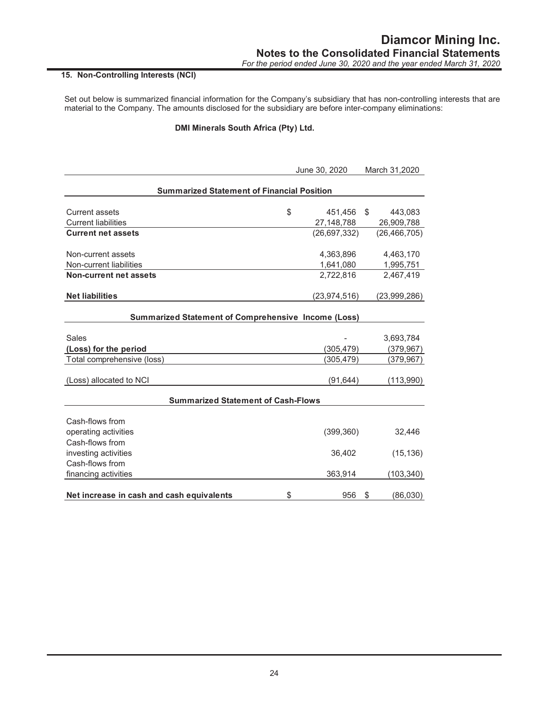# **15. Non-Controlling Interests (NCI)**

Set out below is summarized financial information for the Company's subsidiary that has non-controlling interests that are material to the Company. The amounts disclosed for the subsidiary are before inter-company eliminations:

# **DMI Minerals South Africa (Pty) Ltd.**

|                                                     |    | June 30, 2020  |    | March 31,2020  |  |  |  |  |
|-----------------------------------------------------|----|----------------|----|----------------|--|--|--|--|
| <b>Summarized Statement of Financial Position</b>   |    |                |    |                |  |  |  |  |
|                                                     |    |                |    |                |  |  |  |  |
| <b>Current assets</b>                               | \$ | 451,456        | \$ | 443,083        |  |  |  |  |
| <b>Current liabilities</b>                          |    | 27, 148, 788   |    | 26,909,788     |  |  |  |  |
| <b>Current net assets</b>                           |    | (26, 697, 332) |    | (26, 466, 705) |  |  |  |  |
|                                                     |    |                |    |                |  |  |  |  |
| Non-current assets                                  |    | 4,363,896      |    | 4,463,170      |  |  |  |  |
| Non-current liabilities                             |    | 1,641,080      |    | 1,995,751      |  |  |  |  |
| Non-current net assets                              |    | 2,722,816      |    | 2,467,419      |  |  |  |  |
| <b>Net liabilities</b>                              |    | (23, 974, 516) |    | (23,999,286)   |  |  |  |  |
|                                                     |    |                |    |                |  |  |  |  |
| Summarized Statement of Comprehensive Income (Loss) |    |                |    |                |  |  |  |  |
| Sales                                               |    |                |    |                |  |  |  |  |
|                                                     |    |                |    | 3,693,784      |  |  |  |  |
| (Loss) for the period                               |    | (305, 479)     |    | (379, 967)     |  |  |  |  |
| Total comprehensive (loss)                          |    | (305, 479)     |    | (379, 967)     |  |  |  |  |
| (Loss) allocated to NCI                             |    | (91, 644)      |    | (113,990)      |  |  |  |  |
| <b>Summarized Statement of Cash-Flows</b>           |    |                |    |                |  |  |  |  |
|                                                     |    |                |    |                |  |  |  |  |
| Cash-flows from                                     |    |                |    |                |  |  |  |  |
| operating activities                                |    | (399, 360)     |    | 32,446         |  |  |  |  |
| Cash-flows from                                     |    |                |    |                |  |  |  |  |
| investing activities                                |    | 36,402         |    | (15, 136)      |  |  |  |  |
| Cash-flows from                                     |    |                |    |                |  |  |  |  |
| financing activities                                |    | 363,914        |    | (103,340)      |  |  |  |  |
|                                                     |    |                |    |                |  |  |  |  |
| Net increase in cash and cash equivalents           | \$ | 956            | \$ | (86,030)       |  |  |  |  |